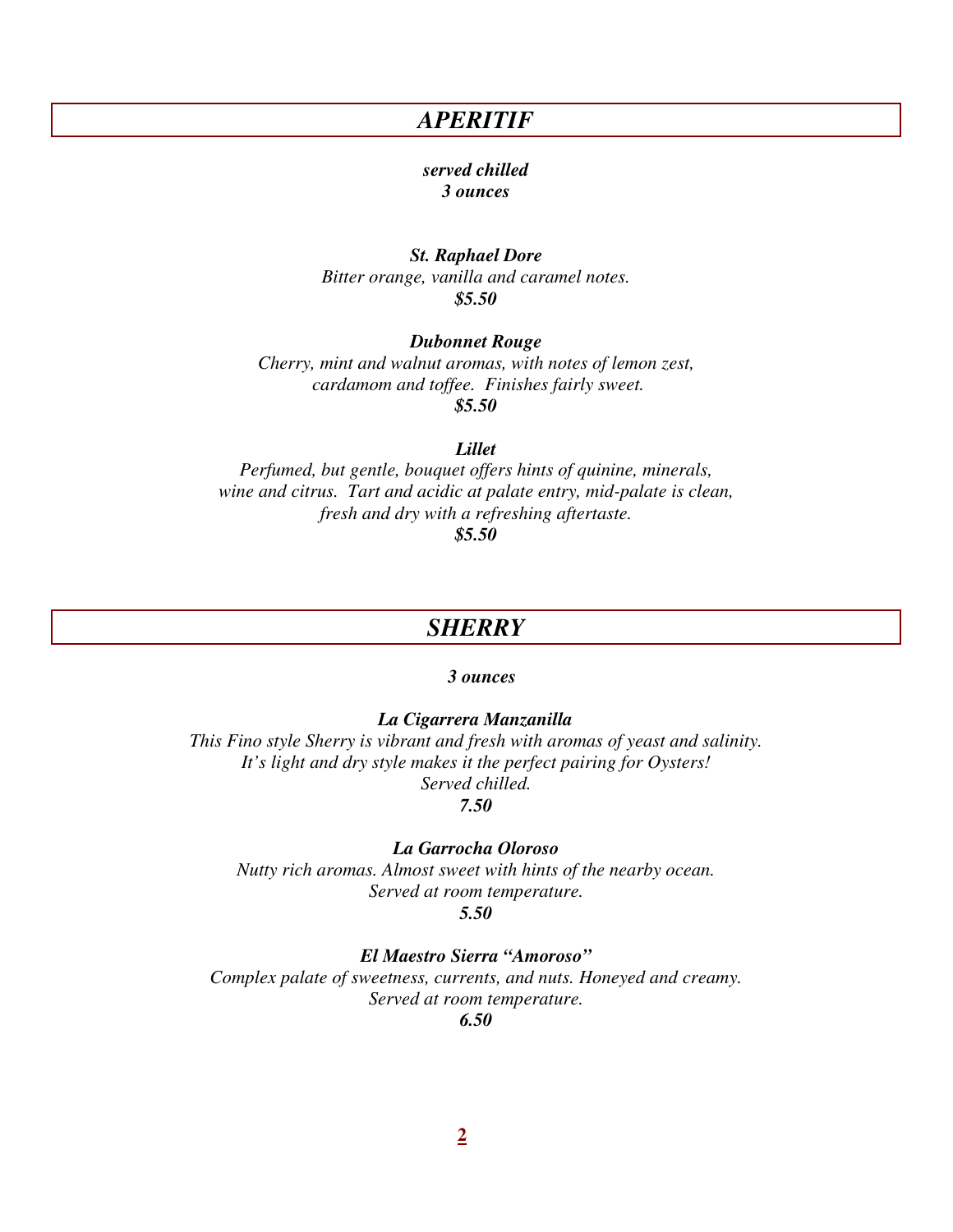### *APERITIF*

#### *served chilled 3 ounces*

*St. Raphael Dore Bitter orange, vanilla and caramel notes. \$5.50* 

#### *Dubonnet Rouge*

*Cherry, mint and walnut aromas, with notes of lemon zest, cardamom and toffee. Finishes fairly sweet. \$5.50*

#### *Lillet*

*Perfumed, but gentle, bouquet offers hints of quinine, minerals, wine and citrus. Tart and acidic at palate entry, mid-palate is clean, fresh and dry with a refreshing aftertaste.* 

*\$5.50*

### *SHERRY*

#### *3 ounces*

 *La Cigarrera Manzanilla* 

*This Fino style Sherry is vibrant and fresh with aromas of yeast and salinity. It's light and dry style makes it the perfect pairing for Oysters! Served chilled.* 

*7.50* 

#### *La Garrocha Oloroso*

*Nutty rich aromas. Almost sweet with hints of the nearby ocean. Served at room temperature.* 

*5.50* 

*El Maestro Sierra "Amoroso"* 

*Complex palate of sweetness, currents, and nuts. Honeyed and creamy. Served at room temperature.* 

*6.50*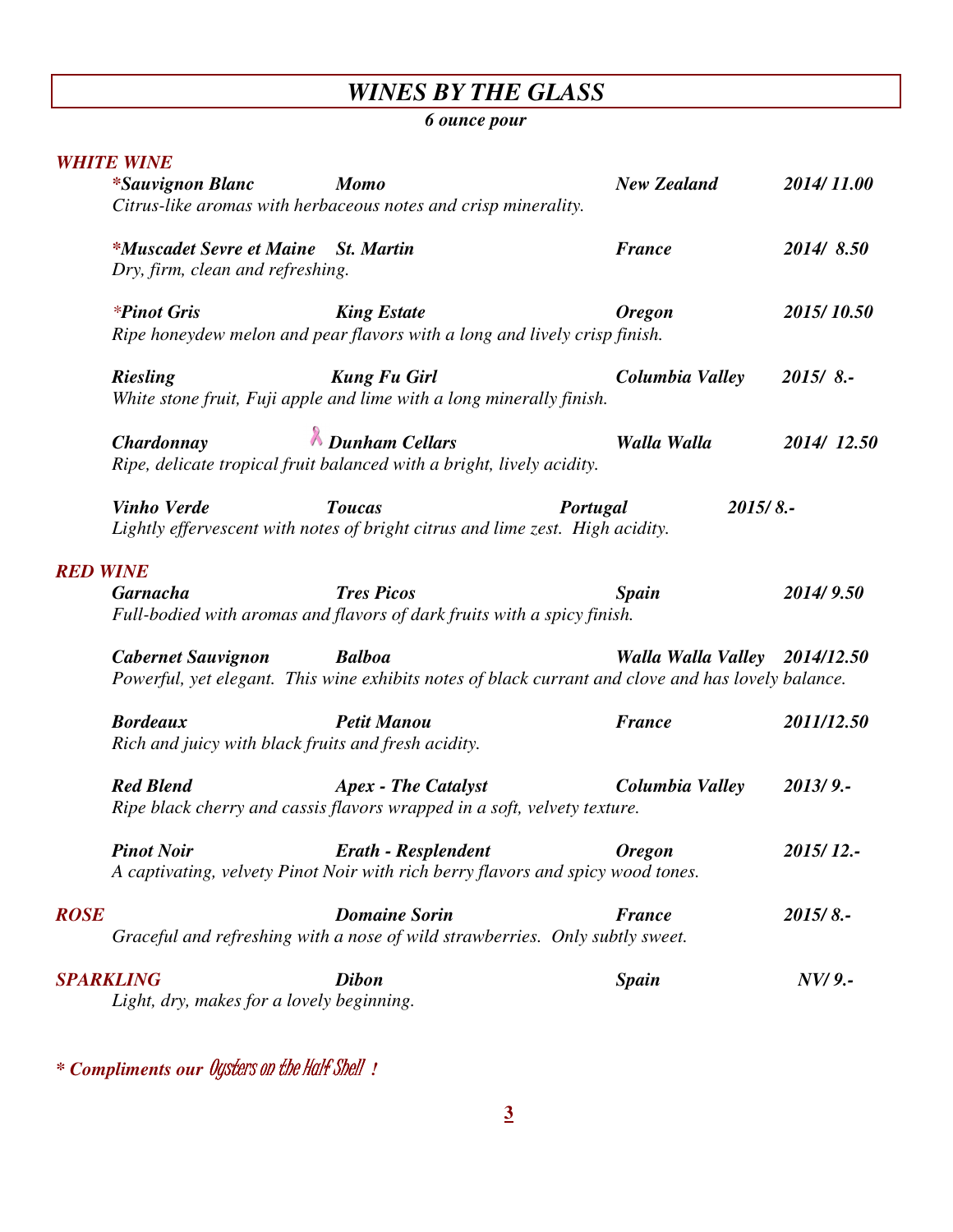# *WINES BY THE GLASS*

### *6 ounce pour*

|                                 | <b>WHITE WINE</b>                                                      |                                                                                                               |                               |            |
|---------------------------------|------------------------------------------------------------------------|---------------------------------------------------------------------------------------------------------------|-------------------------------|------------|
|                                 | <i>*Sauvignon Blanc</i>                                                | <b>Momo</b>                                                                                                   | <b>New Zealand</b>            | 2014/11.00 |
|                                 |                                                                        | Citrus-like aromas with herbaceous notes and crisp minerality.                                                |                               |            |
|                                 | <i>*Muscadet Sevre et Maine St. Martin</i>                             |                                                                                                               | <b>France</b>                 | 2014/8.50  |
|                                 | Dry, firm, clean and refreshing.                                       |                                                                                                               |                               |            |
|                                 | <i>*Pinot Gris</i>                                                     | <b>King Estate</b>                                                                                            | <b>Oregon</b>                 | 2015/10.50 |
|                                 |                                                                        | Ripe honeydew melon and pear flavors with a long and lively crisp finish.                                     |                               |            |
|                                 | <b>Riesling</b>                                                        | <b>Kung Fu Girl</b>                                                                                           | Columbia Valley               | 2015/8.    |
|                                 |                                                                        | White stone fruit, Fuji apple and lime with a long minerally finish.                                          |                               |            |
|                                 | Chardonnay                                                             | <b><i>K</i></b> Dunham Cellars                                                                                | Walla Walla                   | 2014/12.50 |
|                                 |                                                                        | Ripe, delicate tropical fruit balanced with a bright, lively acidity.                                         |                               |            |
|                                 | <b>Vinho Verde</b>                                                     | <b>Toucas</b>                                                                                                 | Portugal                      | 2015/8.    |
|                                 |                                                                        | Lightly effervescent with notes of bright citrus and lime zest. High acidity.                                 |                               |            |
|                                 |                                                                        |                                                                                                               |                               |            |
|                                 |                                                                        |                                                                                                               |                               |            |
|                                 | <b>Garnacha</b>                                                        | <b>Tres Picos</b>                                                                                             | <b>Spain</b>                  | 2014/9.50  |
|                                 |                                                                        | Full-bodied with aromas and flavors of dark fruits with a spicy finish.                                       |                               |            |
|                                 |                                                                        | <b>Balboa</b>                                                                                                 |                               |            |
|                                 | <b>Cabernet Sauvignon</b>                                              | Powerful, yet elegant. This wine exhibits notes of black currant and clove and has lovely balance.            | Walla Walla Valley 2014/12.50 |            |
|                                 |                                                                        |                                                                                                               |                               |            |
|                                 | <b>Bordeaux</b><br>Rich and juicy with black fruits and fresh acidity. | <b>Petit Manou</b>                                                                                            | <b>France</b>                 | 2011/12.50 |
|                                 |                                                                        |                                                                                                               |                               |            |
|                                 | <b>Red Blend</b>                                                       | <b>Apex - The Catalyst</b><br>Ripe black cherry and cassis flavors wrapped in a soft, velvety texture.        | Columbia Valley               | 2013/9.    |
| <b>RED WINE</b>                 |                                                                        |                                                                                                               |                               |            |
|                                 | <b>Pinot Noir</b>                                                      | <b>Erath - Resplendent</b><br>A captivating, velvety Pinot Noir with rich berry flavors and spicy wood tones. | <b>Oregon</b>                 | 2015/12 .- |
|                                 |                                                                        |                                                                                                               |                               |            |
|                                 |                                                                        | <b>Domaine Sorin</b><br>Graceful and refreshing with a nose of wild strawberries. Only subtly sweet.          | <b>France</b>                 | 2015/8.    |
| <b>ROSE</b><br><b>SPARKLING</b> |                                                                        | <b>Dibon</b>                                                                                                  | <b>Spain</b>                  | NV/9.-     |

*\* Compliments our* Oysters on the Half Shell *!*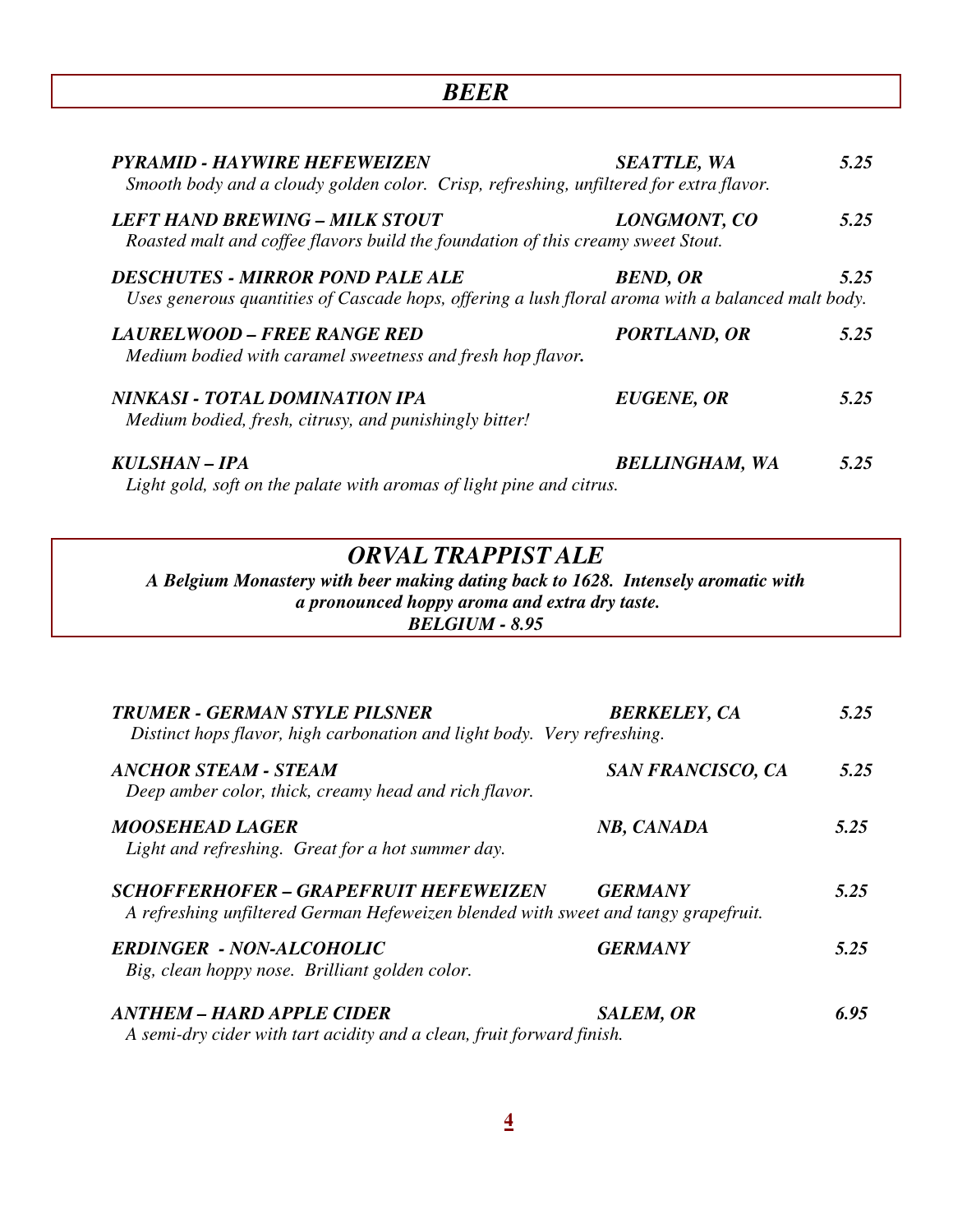| <b>PYRAMID - HAYWIRE HEFEWEIZEN</b><br>Smooth body and a cloudy golden color. Crisp, refreshing, unfiltered for extra flavor.                | <b>SEATTLE, WA</b>    | 5.25 |
|----------------------------------------------------------------------------------------------------------------------------------------------|-----------------------|------|
| <b>LEFT HAND BREWING - MILK STOUT</b><br>Roasted malt and coffee flavors build the foundation of this creamy sweet Stout.                    | LONGMONT, CO          | 5.25 |
| <b>DESCHUTES - MIRROR POND PALE ALE</b><br>Uses generous quantities of Cascade hops, offering a lush floral aroma with a balanced malt body. | <b>BEND, OR</b>       | 5.25 |
| LAURELWOOD – FREE RANGE RED<br>Medium bodied with caramel sweetness and fresh hop flavor.                                                    | PORTLAND, OR          | 5.25 |
| NINKASI - TOTAL DOMINATION IPA<br>Medium bodied, fresh, citrusy, and punishingly bitter!                                                     | <b>EUGENE, OR</b>     | 5.25 |
| KULSHAN - IPA<br>Light gold, soft on the palate with aromas of light pine and citrus.                                                        | <b>BELLINGHAM, WA</b> | 5.25 |

### *ORVAL TRAPPIST ALE*

*A Belgium Monastery with beer making dating back to 1628. Intensely aromatic with a pronounced hoppy aroma and extra dry taste. BELGIUM - 8.95* 

| <b>TRUMER - GERMAN STYLE PILSNER</b><br>Distinct hops flavor, high carbonation and light body. Very refreshing.                    | <b>BERKELEY, CA</b>      | 5.25 |
|------------------------------------------------------------------------------------------------------------------------------------|--------------------------|------|
| <b>ANCHOR STEAM - STEAM</b><br>Deep amber color, thick, creamy head and rich flavor.                                               | <b>SAN FRANCISCO, CA</b> | 5.25 |
| <b>MOOSEHEAD LAGER</b><br>Light and refreshing. Great for a hot summer day.                                                        | NB, CANADA               | 5.25 |
| <b>SCHOFFERHOFER - GRAPEFRUIT HEFEWEIZEN</b><br>A refreshing unfiltered German Hefeweizen blended with sweet and tangy grapefruit. | <b>GERMANY</b>           | 5.25 |
| <b>ERDINGER - NON-ALCOHOLIC</b><br>Big, clean hoppy nose. Brilliant golden color.                                                  | <b>GERMANY</b>           | 5.25 |
| <b>ANTHEM - HARD APPLE CIDER</b><br>A semi-dry cider with tart acidity and a clean, fruit forward finish.                          | <b>SALEM, OR</b>         | 6.95 |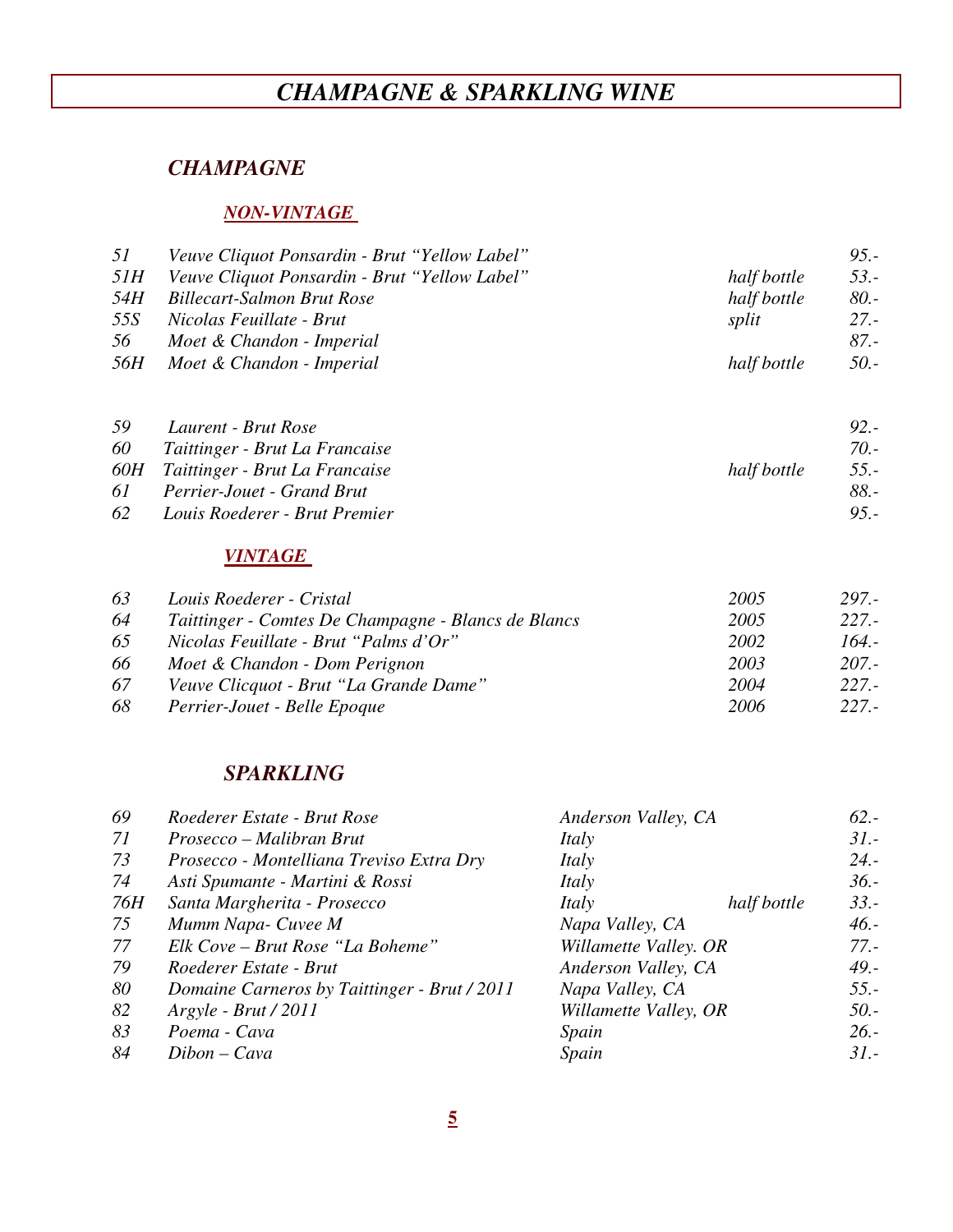# *CHAMPAGNE & SPARKLING WINE*

### *CHAMPAGNE*

#### *NON-VINTAGE*

| 51         | Veuve Cliquot Ponsardin - Brut "Yellow Label" |             | $9.5 -$ |
|------------|-----------------------------------------------|-------------|---------|
| 5IH        | Veuve Cliquot Ponsardin - Brut "Yellow Label" | half bottle | $53. -$ |
| 54H        | Billecart-Salmon Brut Rose                    | half bottle | $80. -$ |
| 55S        | Nicolas Feuillate - Brut                      | split       | $27. -$ |
| 56         | Moet & Chandon - Imperial                     |             | 87.-    |
| <i>56H</i> | Moet & Chandon - Imperial                     | half bottle | $50. -$ |
|            |                                               |             |         |

| 59  | Laurent - Brut Rose                               | $92 -$  |
|-----|---------------------------------------------------|---------|
| 60  | Taittinger - Brut La Francaise                    | $70. -$ |
|     | half bottle<br>60H Taittinger - Brut La Francaise | $55. -$ |
| 61. | Perrier-Jouet - Grand Brut                        | 88. -   |
| 62  | Louis Roederer - Brut Premier                     | $95 -$  |

#### *VINTAGE*

| 63 | Louis Roederer - Cristal                            | 2005 | 297.-    |
|----|-----------------------------------------------------|------|----------|
| 64 | Taittinger - Comtes De Champagne - Blancs de Blancs | 2005 | $227. -$ |
| 65 | Nicolas Feuillate - Brut "Palms d'Or"               | 2002 | 164.-    |
| 66 | Moet & Chandon - Dom Perignon                       | 2003 | $207 -$  |
| 67 | Veuve Clicquot - Brut "La Grande Dame"              | 2004 | $227 -$  |
| 68 | Perrier-Jouet - Belle Epoque                        | 2006 | $227 -$  |

### *SPARKLING*

| 69         | Roederer Estate - Brut Rose                  |                 |             | $62 -$                                                                                       |
|------------|----------------------------------------------|-----------------|-------------|----------------------------------------------------------------------------------------------|
| 71         | Prosecco – Malibran Brut                     | Italy           |             | $31. -$                                                                                      |
| 73         | Prosecco - Montelliana Treviso Extra Dry     | Italy           |             | $24. -$                                                                                      |
| 74         | Asti Spumante - Martini & Rossi              | Italy           |             | $36. -$                                                                                      |
| <i>76H</i> | Santa Margherita - Prosecco                  | Italy           | half bottle | $33. -$                                                                                      |
| 75         | Mumm Napa- Cuvee M                           | Napa Valley, CA |             | $46. -$                                                                                      |
| 77         | Elk Cove - Brut Rose "La Boheme"             |                 |             | $77. -$                                                                                      |
| 79         | Roederer Estate - Brut                       |                 |             | $49. -$                                                                                      |
| 80         | Domaine Carneros by Taittinger - Brut / 2011 | Napa Valley, CA |             | $55. -$                                                                                      |
| 82         | $Argyle - Brut / 2011$                       |                 |             | $50. -$                                                                                      |
| 83         | Poema - Cava                                 | Spain           |             | $26. -$                                                                                      |
| 84         | $Dibon-Cava$                                 | Spain           |             | $31 -$                                                                                       |
|            |                                              |                 |             | Anderson Valley, CA<br>Willamette Valley. OR<br>Anderson Valley, CA<br>Willamette Valley, OR |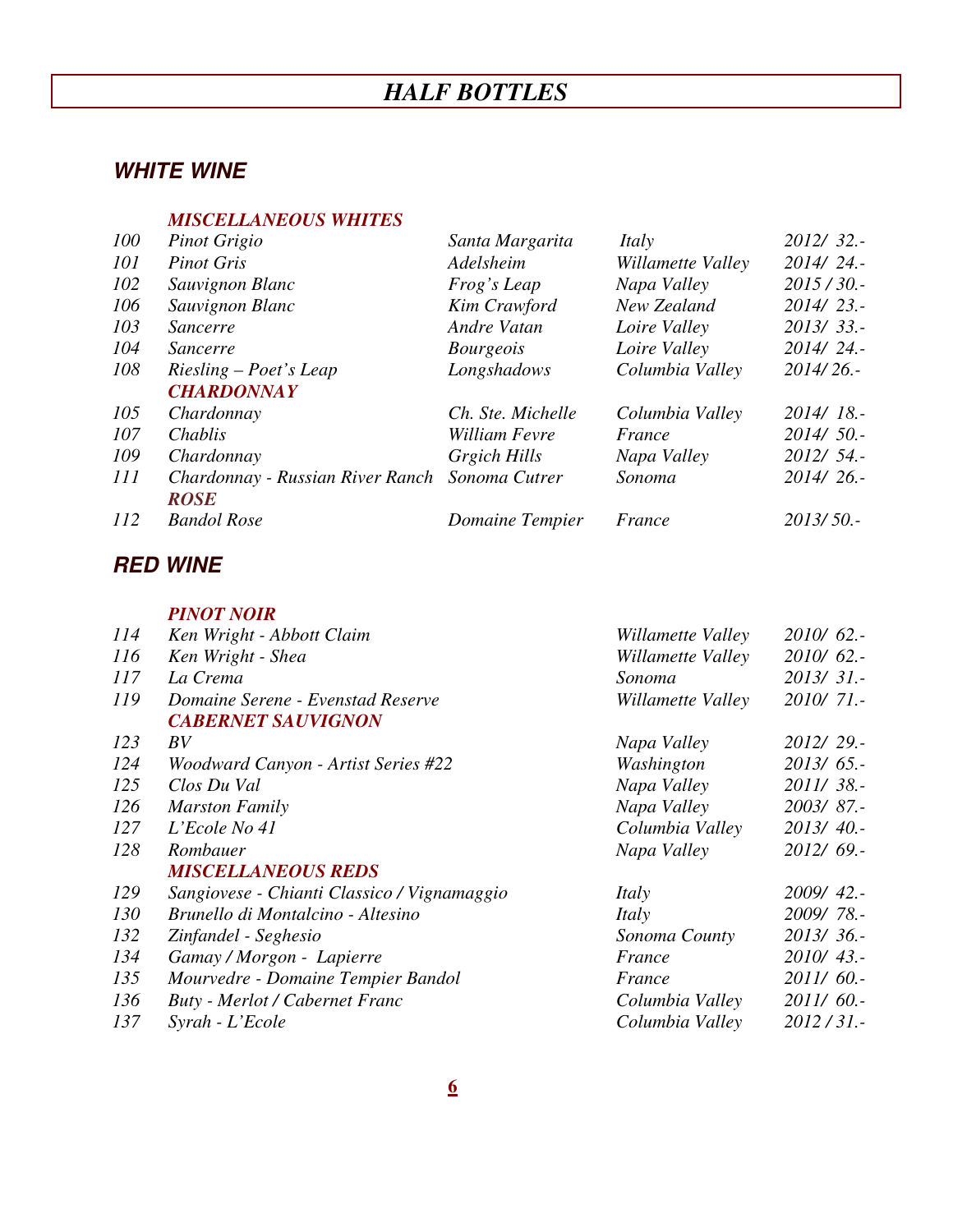# *HALF BOTTLES*

### **WHITE WINE**

#### *MISCELLANEOUS WHITES*

| 100 | Pinot Grigio                     | Santa Margarita   | Italy             | $2012/32$ . |
|-----|----------------------------------|-------------------|-------------------|-------------|
| 101 | <b>Pinot Gris</b>                | Adelsheim         | Willamette Valley | $2014/24$ . |
| 102 | Sauvignon Blanc                  | Frog's Leap       | Napa Valley       | 2015/30.    |
| 106 | Sauvignon Blanc                  | Kim Crawford      | New Zealand       | $2014/23$ . |
| 103 | Sancerre                         | Andre Vatan       | Loire Valley      | $2013/33$ . |
| 104 | <i>Sancerre</i>                  | <i>Bourgeois</i>  | Loire Valley      | $2014/24$ . |
| 108 | $Riesling-Poet's Leap$           | Longshadows       | Columbia Valley   | $2014/26$ . |
|     | <b>CHARDONNAY</b>                |                   |                   |             |
| 105 | Chardonnay                       | Ch. Ste. Michelle | Columbia Valley   | 2014/18.    |
| 107 | Chablis                          | William Fevre     | France            | $2014/50$ . |
| 109 | Chardonnay                       | Grgich Hills      | Napa Valley       | $2012/54$ . |
| 111 | Chardonnay - Russian River Ranch | Sonoma Cutrer     | Sonoma            | $2014/26$ . |
|     | <b>ROSE</b>                      |                   |                   |             |
| 112 | <b>Bandol Rose</b>               | Domaine Tempier   | France            | $2013/50$ . |
|     |                                  |                   |                   |             |

### **RED WINE**

|     | <b>PINOT NOIR</b>                           |                   |               |
|-----|---------------------------------------------|-------------------|---------------|
| 114 | Ken Wright - Abbott Claim                   | Willamette Valley | $2010/62$ .   |
| 116 | Ken Wright - Shea                           | Willamette Valley | $2010/62$ .   |
| 117 | La Crema                                    | Sonoma            | 2013/31.-     |
| 119 | Domaine Serene - Evenstad Reserve           | Willamette Valley | 2010/71.-     |
|     | <b>CABERNET SAUVIGNON</b>                   |                   |               |
| 123 | BV                                          | Napa Valley       | 2012/29.-     |
| 124 | Woodward Canyon - Artist Series #22         | Washington        | $2013/65$ .   |
| 125 | Clos Du Val                                 | Napa Valley       | 2011/38.-     |
| 126 | <b>Marston Family</b>                       | Napa Valley       | 2003/87.-     |
| 127 | L'Ecole No 41                               | Columbia Valley   | 2013/40.      |
| 128 | Rombauer                                    | Napa Valley       | 2012/69.-     |
|     | <b>MISCELLANEOUS REDS</b>                   |                   |               |
| 129 | Sangiovese - Chianti Classico / Vignamaggio | Italy             | $2009/42$ .   |
| 130 | Brunello di Montalcino - Altesino           | Italy             | 2009/78.-     |
| 132 | Zinfandel - Seghesio                        | Sonoma County     | 2013/36.      |
| 134 | Gamay / Morgon - Lapierre                   | France            | $2010/43$ .   |
| 135 | Mourvedre - Domaine Tempier Bandol          | France            | 2011/60.-     |
| 136 | <b>Buty</b> - Merlot / Cabernet Franc       | Columbia Valley   | $2011/60$ .   |
| 137 | Syrah - L'Ecole                             | Columbia Valley   | $2012 / 31$ . |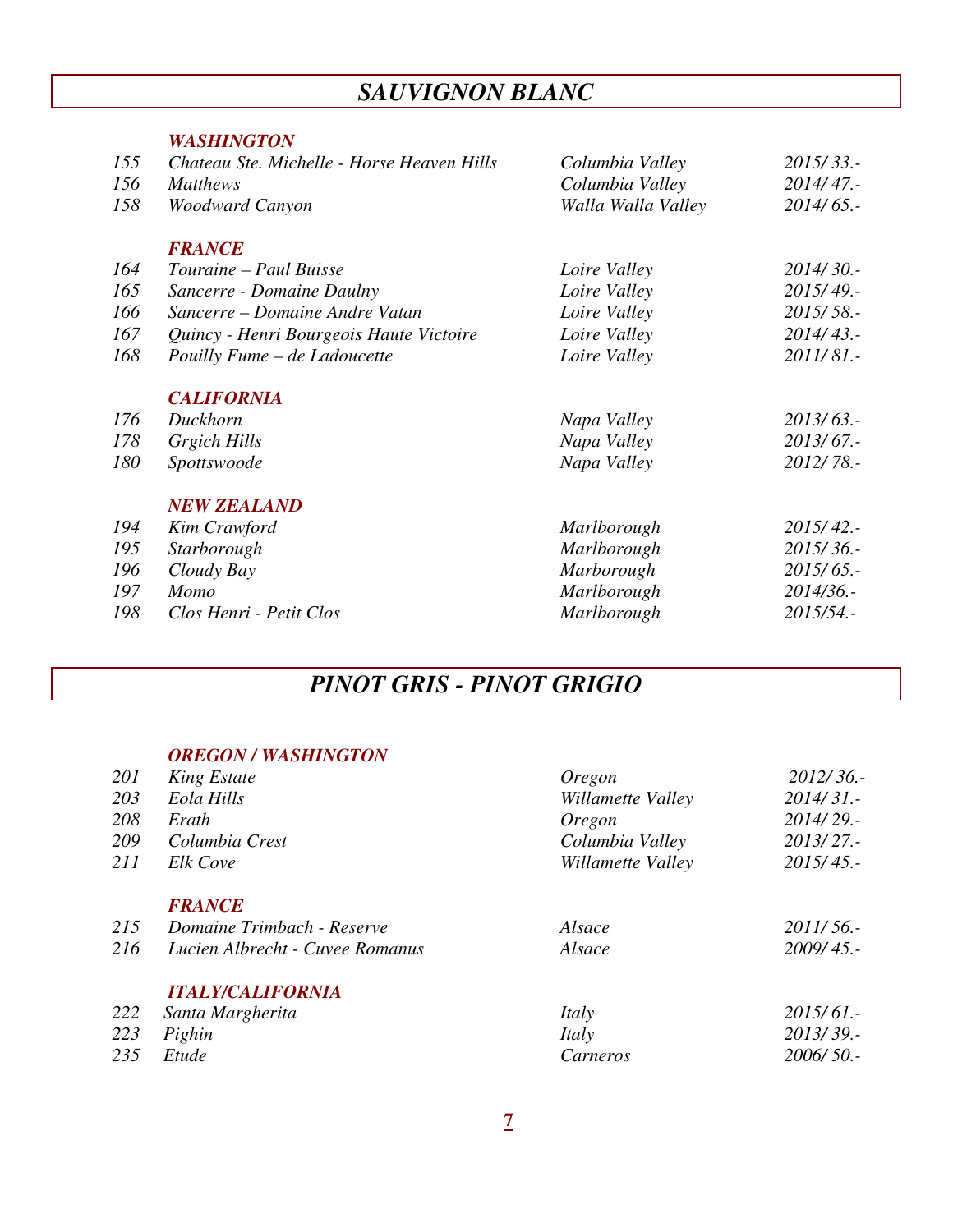# *SAUVIGNON BLANC*

#### *WASHINGTON*

| 155 | Chateau Ste. Michelle - Horse Heaven Hills | Columbia Valley    | $2015/33$ . |
|-----|--------------------------------------------|--------------------|-------------|
| 156 | <b>Matthews</b>                            | Columbia Valley    | 2014/47.    |
| 158 | Woodward Canyon                            | Walla Walla Valley | $2014/65$ . |
|     | <b>FRANCE</b>                              |                    |             |
| 164 | Touraine – Paul Buisse                     | Loire Valley       | 2014/30.    |
| 165 | Sancerre - Domaine Daulny                  | Loire Valley       | 2015/49.    |
| 166 | Sancerre – Domaine Andre Vatan             | Loire Valley       | $2015/58$ . |
| 167 | Quincy - Henri Bourgeois Haute Victoire    | Loire Valley       | $2014/43$ . |
| 168 | Pouilly Fume - de Ladoucette               | Loire Valley       | 2011/81.-   |
|     | <b>CALIFORNIA</b>                          |                    |             |
| 176 | Duckhorn                                   | Napa Valley        | $2013/63$ . |
| 178 | Grgich Hills                               | Napa Valley        | 2013/67.-   |
| 180 | Spottswoode                                | Napa Valley        | 2012/78.-   |
|     | <b>NEW ZEALAND</b>                         |                    |             |
| 194 | Kim Crawford                               | <b>Marlborough</b> | $2015/42$ . |
| 195 | Starborough                                | <b>Marlborough</b> | 2015/36.-   |
| 196 | Cloudy Bay                                 | <b>Marborough</b>  | 2015/65.-   |
| 197 | Momo                                       | Marlborough        | 2014/36.-   |
| 198 | Clos Henri - Petit Clos                    | <b>Marlborough</b> | 2015/54.-   |
|     |                                            |                    |             |

# *PINOT GRIS - PINOT GRIGIO*

#### *OREGON / WASHINGTON*

| 201        | <b>King Estate</b>              | Oregon            | $2012/36$ . |
|------------|---------------------------------|-------------------|-------------|
| 203        | Eola Hills                      | Willamette Valley | $2014/31$ . |
| 208        | Erath                           | Oregon            | $2014/29$ . |
| 209        | Columbia Crest                  | Columbia Valley   | 2013/27.    |
| <i>211</i> | Elk Cove                        | Willamette Valley | 2015/45.    |
|            | <b>FRANCE</b>                   |                   |             |
| 215        | Domaine Trimbach - Reserve      | Alsace            | $2011/56$ . |
| 216        | Lucien Albrecht - Cuvee Romanus | Alsace            | 2009/45.    |
|            | <b>ITALY/CALIFORNIA</b>         |                   |             |
| 222        | Santa Margherita                | Italy             | $2015/61$ . |
| 223        | Pighin                          | Italy             | 2013/39.    |
| 235        | Etude                           | Carneros          | $2006/50$ . |
|            |                                 |                   |             |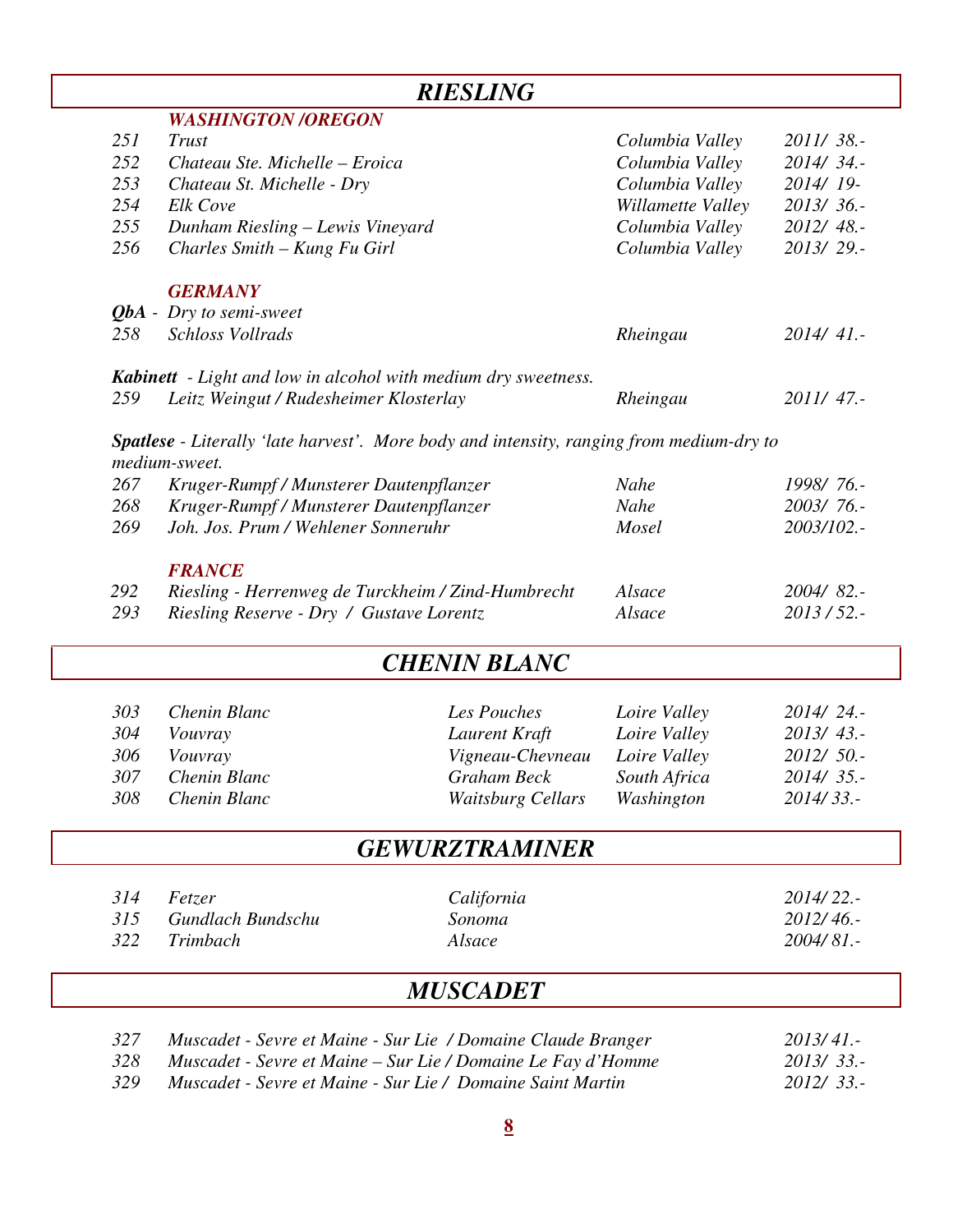|     |                                                                                                 | <b>RIESLING</b>          |                   |             |
|-----|-------------------------------------------------------------------------------------------------|--------------------------|-------------------|-------------|
|     | <b>WASHINGTON /OREGON</b>                                                                       |                          |                   |             |
| 251 | Trust                                                                                           |                          | Columbia Valley   | 2011/38.-   |
| 252 | Chateau Ste. Michelle - Eroica                                                                  |                          | Columbia Valley   | 2014/34.-   |
| 253 | Chateau St. Michelle - Dry                                                                      |                          | Columbia Valley   | 2014/19-    |
| 254 | Elk Cove                                                                                        |                          | Willamette Valley | 2013/36.-   |
| 255 | Dunham Riesling - Lewis Vineyard                                                                |                          | Columbia Valley   | 2012/48 .-  |
| 256 | Charles Smith - Kung Fu Girl                                                                    |                          | Columbia Valley   | 2013/29.-   |
|     | <b>GERMANY</b>                                                                                  |                          |                   |             |
|     | $QbA$ - Dry to semi-sweet                                                                       |                          |                   |             |
| 258 | Schloss Vollrads                                                                                |                          | Rheingau          | 2014/41.-   |
|     | <b>Kabinett</b> - Light and low in alcohol with medium dry sweetness.                           |                          |                   |             |
| 259 | Leitz Weingut / Rudesheimer Klosterlay                                                          |                          | Rheingau          | 2011/47.-   |
|     | <b>Spatlese</b> - Literally 'late harvest'. More body and intensity, ranging from medium-dry to |                          |                   |             |
|     | medium-sweet.                                                                                   |                          |                   |             |
| 267 | Kruger-Rumpf / Munsterer Dautenpflanzer                                                         |                          | <b>Nahe</b>       | 1998/76.-   |
| 268 | Kruger-Rumpf / Munsterer Dautenpflanzer                                                         |                          | Nahe              | 2003/76.-   |
| 269 | Joh. Jos. Prum / Wehlener Sonneruhr                                                             |                          | Mosel             | 2003/102 .- |
|     | <b>FRANCE</b>                                                                                   |                          |                   |             |
| 292 | Riesling - Herrenweg de Turckheim / Zind-Humbrecht                                              |                          | Alsace            | 2004/82 .-  |
| 293 | Riesling Reserve - Dry / Gustave Lorentz                                                        |                          | Alsace            | $2013/52$ . |
|     |                                                                                                 | <b>CHENIN BLANC</b>      |                   |             |
| 303 | Chenin Blanc                                                                                    | Les Pouches              | Loire Valley      | 2014/24.-   |
| 304 | Vouvray                                                                                         | Laurent Kraft            | Loire Valley      | $2013/43$ . |
| 306 | Vouvray                                                                                         | Vigneau-Chevneau         | Loire Valley      | 2012/ 50.-  |
| 307 | Chenin Blanc                                                                                    | <b>Graham Beck</b>       | South Africa      | 2014/35.-   |
| 308 | Chenin Blanc                                                                                    | <b>Waitsburg Cellars</b> | Washington        | 2014/33.-   |
|     |                                                                                                 | <b>GEWURZTRAMINER</b>    |                   |             |
| 314 | Fetzer                                                                                          | California               |                   | 2014/22 .-  |
| 315 | Gundlach Bundschu                                                                               | Sonoma                   |                   | 2012/46.-   |
| 322 | Trimbach                                                                                        | Alsace                   |                   | 2004/81 .-  |
|     |                                                                                                 | <b>MUSCADET</b>          |                   |             |

|     | Muscadet - Sevre et Maine - Sur Lie / Domaine Claude Branger | $2013/41$ . |
|-----|--------------------------------------------------------------|-------------|
|     | Muscadet - Sevre et Maine – Sur Lie / Domaine Le Fay d'Homme | 2013/33.    |
| 329 | Muscadet - Sevre et Maine - Sur Lie / Domaine Saint Martin   | $2012/33$ . |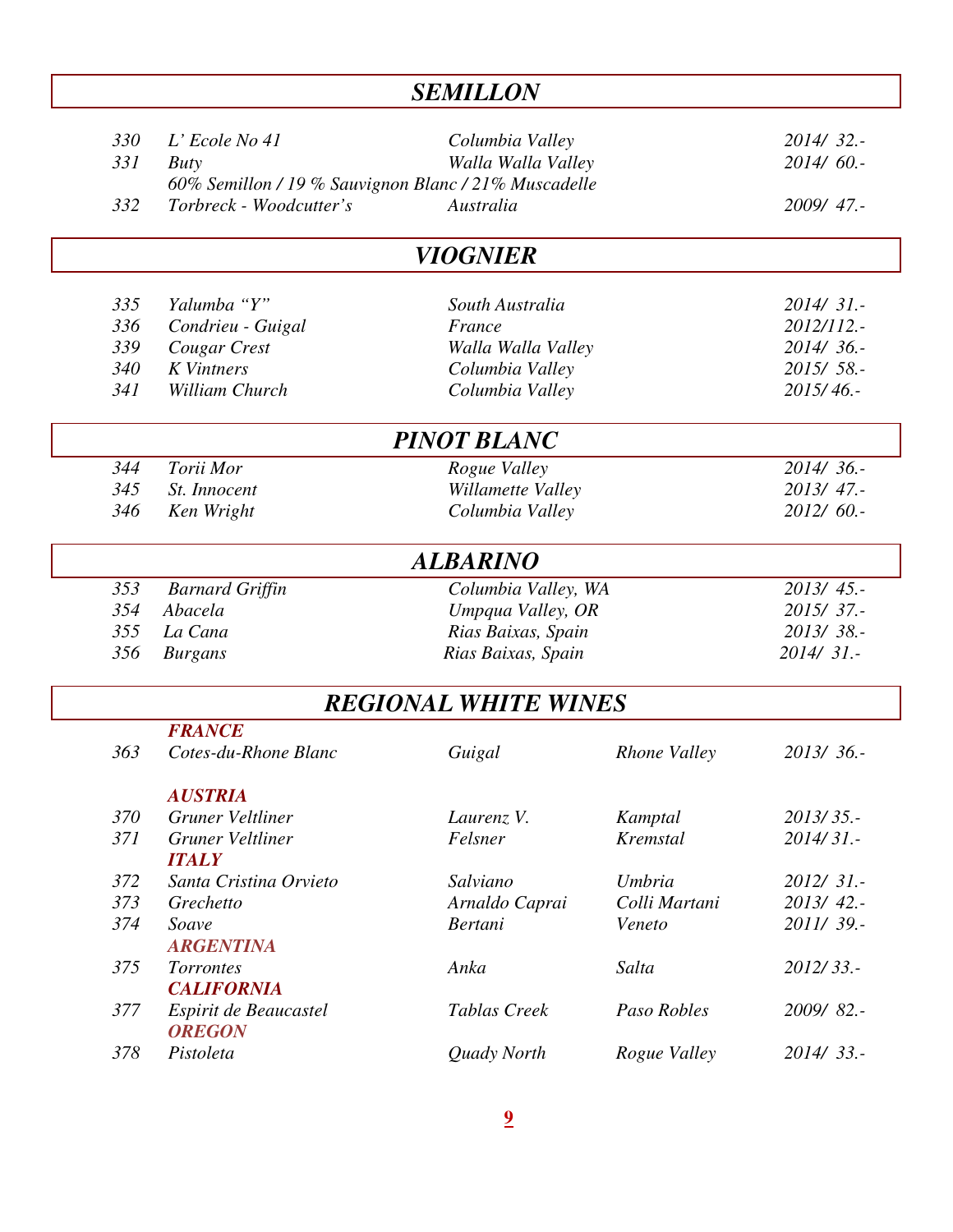| <b>SEMILLON</b>   |                                                                                                              |                                                    |               |                                       |  |
|-------------------|--------------------------------------------------------------------------------------------------------------|----------------------------------------------------|---------------|---------------------------------------|--|
| 330<br>331<br>332 | $L$ ' Ecole No 41<br>Buty<br>60% Semillon / 19 % Sauvignon Blanc / 21% Muscadelle<br>Torbreck - Woodcutter's | Columbia Valley<br>Walla Walla Valley<br>Australia |               | 2014/32.-<br>$2014/60$ .<br>2009/47.- |  |
|                   |                                                                                                              | <i>VIOGNIER</i>                                    |               |                                       |  |
|                   |                                                                                                              |                                                    |               |                                       |  |
| 335               | Yalumba "Y"                                                                                                  | South Australia                                    |               | $2014/31$ .                           |  |
| 336               | Condrieu - Guigal                                                                                            | France                                             |               | 2012/112.-                            |  |
| 339               | Cougar Crest                                                                                                 | Walla Walla Valley                                 |               | 2014/36.-                             |  |
| 340               | <b>K</b> Vintners                                                                                            | Columbia Valley                                    |               | 2015/58.-                             |  |
| 341               | William Church                                                                                               | Columbia Valley                                    |               | 2015/46.                              |  |
|                   |                                                                                                              | <b>PINOT BLANC</b>                                 |               |                                       |  |
| 344               | Torii Mor                                                                                                    | Rogue Valley                                       |               | 2014/36.-                             |  |
| 345               | St. Innocent                                                                                                 | Willamette Valley                                  |               | 2013/47.                              |  |
| 346               | Ken Wright                                                                                                   | Columbia Valley                                    |               | 2012/60.-                             |  |
|                   |                                                                                                              | <b>ALBARINO</b>                                    |               |                                       |  |
| 353               | <b>Barnard Griffin</b>                                                                                       | Columbia Valley, WA                                |               | 2013/45.-                             |  |
| 354               | Abacela                                                                                                      | Umpqua Valley, OR                                  |               | 2015/37.-                             |  |
| 355               | La Cana                                                                                                      | Rias Baixas, Spain                                 |               | 2013/38.-                             |  |
| 356               | <b>Burgans</b>                                                                                               | Rias Baixas, Spain                                 |               | $2014/31$ .                           |  |
|                   |                                                                                                              | <b>REGIONAL WHITE WINES</b>                        |               |                                       |  |
|                   | <b>FRANCE</b>                                                                                                |                                                    |               |                                       |  |
| 363               | Cotes-du-Rhone Blanc                                                                                         | Guigal                                             | Rhone Valley  | 2013/36.                              |  |
|                   | <b>AUSTRIA</b>                                                                                               |                                                    |               |                                       |  |
| 370               | Gruner Veltliner                                                                                             | Laurenz V.                                         | Kamptal       | 2013/35.-                             |  |
| 371               | Gruner Veltliner<br><b>ITALY</b>                                                                             | Felsner                                            | Kremstal      | 2014/31.-                             |  |
| 372               | Santa Cristina Orvieto                                                                                       | Salviano                                           | Umbria        | $2012/31$ .                           |  |
| 373               | Grechetto                                                                                                    | Arnaldo Caprai                                     | Colli Martani | 2013/42.-                             |  |
| 374               | Soave                                                                                                        | <b>Bertani</b>                                     | Veneto        | 2011/39.-                             |  |
|                   | <b>ARGENTINA</b>                                                                                             |                                                    |               |                                       |  |
| 375               | <b>Torrontes</b>                                                                                             | Anka                                               | Salta         | 2012/33.-                             |  |
|                   | <b>CALIFORNIA</b>                                                                                            |                                                    |               |                                       |  |
| 377               | Espirit de Beaucastel<br><b>OREGON</b>                                                                       | Tablas Creek                                       | Paso Robles   | 2009/82.-                             |  |
| 378               | Pistoleta                                                                                                    | Quady North                                        | Rogue Valley  | $2014/33$ .                           |  |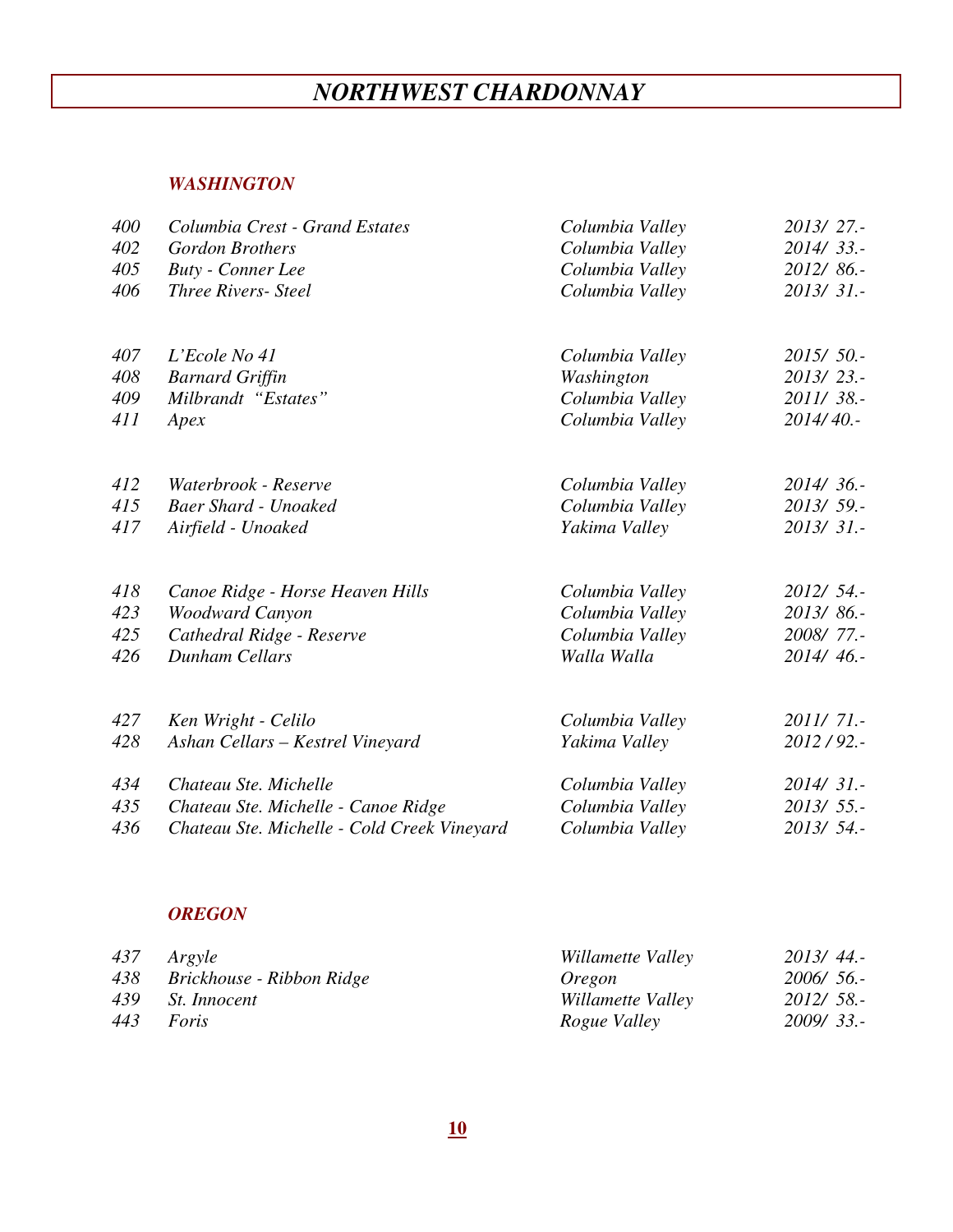# *NORTHWEST CHARDONNAY*

#### *WASHINGTON*

| 400 | Columbia Crest - Grand Estates              | Columbia Valley | 2013/27.    |
|-----|---------------------------------------------|-----------------|-------------|
| 402 | <b>Gordon Brothers</b>                      | Columbia Valley | $2014/33$ . |
| 405 | <b>Buty</b> - Conner Lee                    | Columbia Valley | 2012/86.-   |
| 406 | <b>Three Rivers- Steel</b>                  | Columbia Valley | 2013/31.-   |
| 407 | $L$ 'Ecole No 41                            | Columbia Valley | 2015/50.    |
| 408 | <b>Barnard Griffin</b>                      | Washington      | $2013/23$ . |
| 409 | Milbrandt "Estates"                         | Columbia Valley | 2011/38 .-  |
| 411 | Apex                                        | Columbia Valley | 2014/40.    |
| 412 | Waterbrook - Reserve                        | Columbia Valley | 2014/36.    |
| 415 | <b>Baer Shard - Unoaked</b>                 | Columbia Valley | 2013/59.-   |
| 417 | Airfield - Unoaked                          | Yakima Valley   | 2013/31.    |
| 418 | Canoe Ridge - Horse Heaven Hills            | Columbia Valley | $2012/54$ . |
| 423 | <b>Woodward Canyon</b>                      | Columbia Valley | 2013/86.-   |
| 425 | Cathedral Ridge - Reserve                   | Columbia Valley | 2008/77.-   |
| 426 | <b>Dunham Cellars</b>                       | Walla Walla     | 2014/46.    |
| 427 | Ken Wright - Celilo                         | Columbia Valley | $2011/71$ . |
| 428 | Ashan Cellars - Kestrel Vineyard            | Yakima Valley   | $2012/92$ . |
| 434 | Chateau Ste. Michelle                       | Columbia Valley | $2014/31$ . |
| 435 | Chateau Ste. Michelle - Canoe Ridge         | Columbia Valley | $2013/55$ . |
| 436 | Chateau Ste. Michelle - Cold Creek Vineyard | Columbia Valley | 2013/ 54.-  |

#### *OREGON*

| 437 Argyle                    | Willamette Valley   | $2013/44$ . |
|-------------------------------|---------------------|-------------|
| 438 Brickhouse - Ribbon Ridge | Oregon              | $2006/56$ . |
| 439 St. Innocent              | Willamette Valley   | $2012/58$ . |
| 443 Foris                     | <i>Rogue Valley</i> | $2009/33$ . |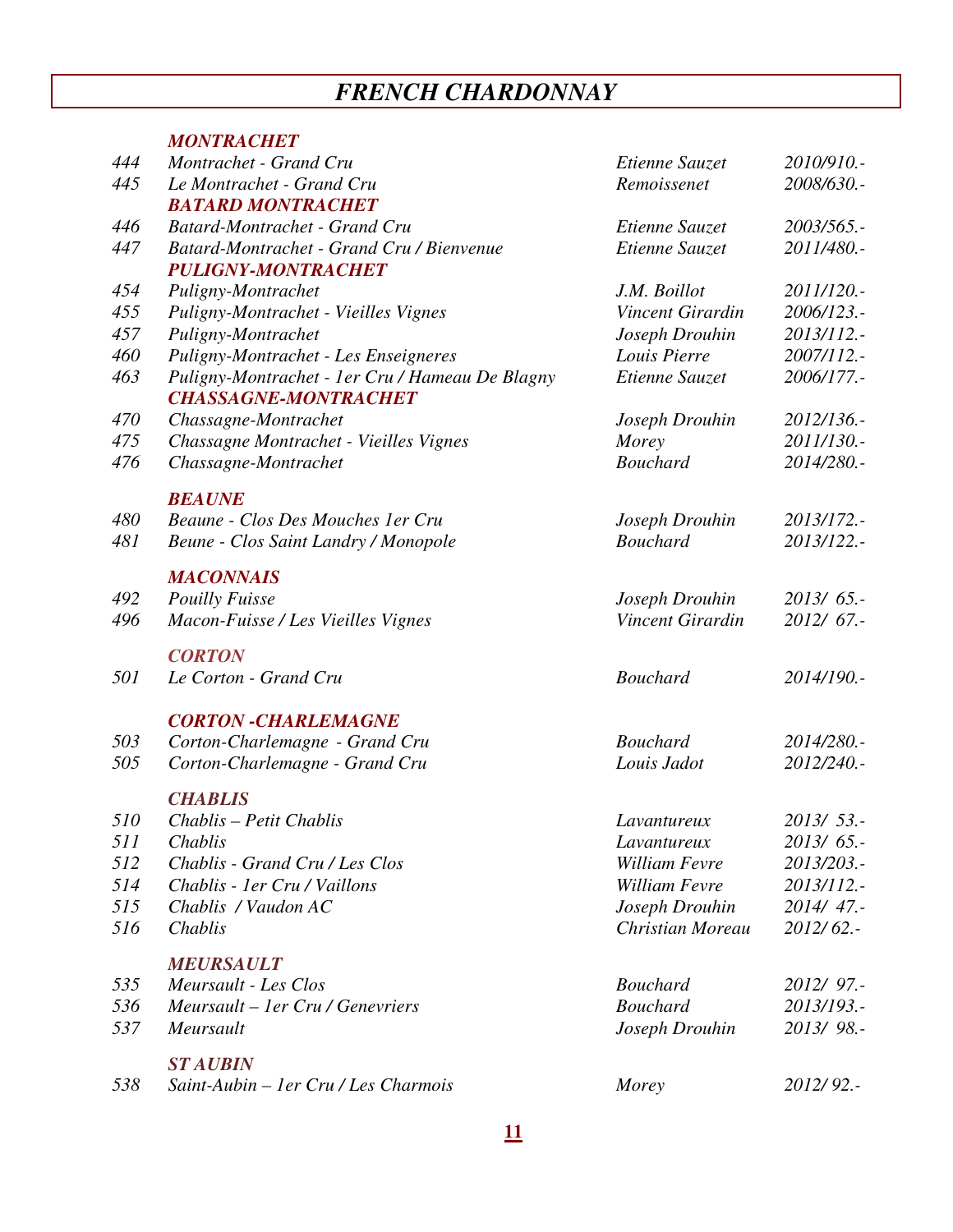# *FRENCH CHARDONNAY*

|            | <b>MONTRACHET</b>                                                              |                                    |                          |
|------------|--------------------------------------------------------------------------------|------------------------------------|--------------------------|
| 444        | Montrachet - Grand Cru                                                         | Etienne Sauzet                     | 2010/910.-               |
| 445        | Le Montrachet - Grand Cru                                                      | Remoissenet                        | 2008/630.-               |
|            | <b>BATARD MONTRACHET</b>                                                       |                                    |                          |
| 446        | Batard-Montrachet - Grand Cru                                                  | Etienne Sauzet                     | 2003/565.-               |
| 447        | Batard-Montrachet - Grand Cru / Bienvenue                                      | Etienne Sauzet                     | 2011/480 .-              |
|            | <b>PULIGNY-MONTRACHET</b>                                                      |                                    |                          |
| 454        | Puligny-Montrachet                                                             | J.M. Boillot                       | 2011/120.-               |
| 455        | Puligny-Montrachet - Vieilles Vignes                                           | Vincent Girardin                   | 2006/123.-               |
| 457        | Puligny-Montrachet                                                             | Joseph Drouhin                     | 2013/112.-               |
| 460        | Puligny-Montrachet - Les Enseigneres                                           | Louis Pierre                       | 2007/112.-               |
| 463        | Puligny-Montrachet - 1er Cru / Hameau De Blagny<br><b>CHASSAGNE-MONTRACHET</b> | Etienne Sauzet                     | 2006/177.-               |
| 470        | Chassagne-Montrachet                                                           | Joseph Drouhin                     | 2012/136.-               |
| 475        | Chassagne Montrachet - Vieilles Vignes                                         | Morey                              | 2011/130.-               |
| 476        | Chassagne-Montrachet                                                           | <b>Bouchard</b>                    | 2014/280.-               |
|            | <b>BEAUNE</b>                                                                  |                                    |                          |
| 480        | Beaune - Clos Des Mouches 1 er Cru                                             | Joseph Drouhin                     | 2013/172.-               |
| 481        | Beune - Clos Saint Landry / Monopole                                           | <b>Bouchard</b>                    | 2013/122.-               |
|            | <b>MACONNAIS</b>                                                               |                                    |                          |
| 492        | <b>Pouilly Fuisse</b>                                                          | Joseph Drouhin                     | $2013/65$ .              |
| 496        | Macon-Fuisse / Les Vieilles Vignes                                             | Vincent Girardin                   | 2012/ 67.-               |
|            | <b>CORTON</b>                                                                  |                                    |                          |
| 501        | Le Corton - Grand Cru                                                          | <b>Bouchard</b>                    | 2014/190.-               |
|            | <b>CORTON -CHARLEMAGNE</b>                                                     |                                    |                          |
| 503        | Corton-Charlemagne - Grand Cru                                                 | <b>Bouchard</b>                    | 2014/280.-               |
| 505        | Corton-Charlemagne - Grand Cru                                                 | Louis Jadot                        | 2012/240.-               |
|            | <b>CHABLIS</b>                                                                 |                                    |                          |
| 510<br>511 | Chablis - Petit Chablis<br>Chablis                                             | Lavantureux                        | 2013/ 53.-               |
| 512        | Chablis - Grand Cru / Les Clos                                                 | Lavantureux<br>William Fevre       | $2013/65$ .              |
|            | Chablis - 1er Cru / Vaillons                                                   |                                    | 2013/203.-               |
| 514        |                                                                                | William Fevre                      | 2013/112.-               |
| 515<br>516 | Chablis / Vaudon AC<br>Chablis                                                 | Joseph Drouhin<br>Christian Moreau | 2014/47.-<br>$2012/62$ . |
|            |                                                                                |                                    |                          |
| 535        | <b>MEURSAULT</b><br>Meursault - Les Clos                                       | <b>Bouchard</b>                    | 2012/ 97.-               |
| 536        | Meursault – 1 er Cru / Genevriers                                              | <b>Bouchard</b>                    | 2013/193.-               |
| 537        | Meursault                                                                      | Joseph Drouhin                     | 2013/98 .-               |
|            |                                                                                |                                    |                          |
| 538        | <b>ST AUBIN</b><br>Saint-Aubin – 1 er Cru / Les Charmois                       | Morey                              | 2012/92.-                |
|            |                                                                                |                                    |                          |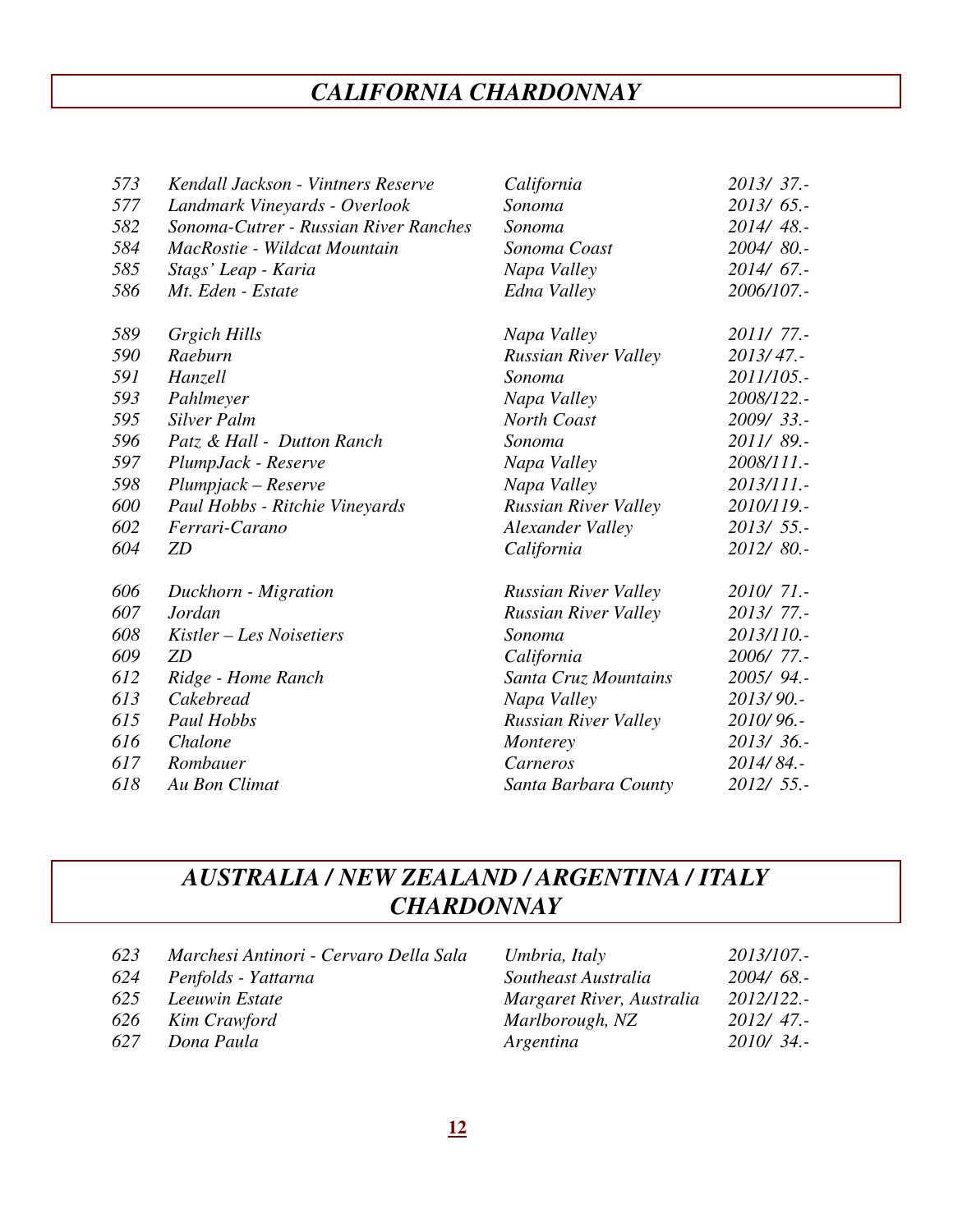# *CALIFORNIA CHARDONNAY*

| 573 | Kendall Jackson - Vintners Reserve    | California                  | 2013/37.    |
|-----|---------------------------------------|-----------------------------|-------------|
| 577 | Landmark Vineyards - Overlook         | Sonoma                      | $2013/65$ . |
| 582 | Sonoma-Cutrer - Russian River Ranches | Sonoma                      | 2014/48 .-  |
| 584 | MacRostie - Wildcat Mountain          | Sonoma Coast                | 2004/80.-   |
| 585 | Stags' Leap - Karia                   | Napa Valley                 | 2014/ 67.-  |
| 586 | Mt. Eden - Estate                     | Edna Valley                 | 2006/107 .- |
| 589 | <b>Grgich Hills</b>                   | Napa Valley                 | 2011/77.-   |
| 590 | Raeburn                               | Russian River Valley        | 2013/47.    |
| 591 | Hanzell                               | Sonoma                      | 2011/105.-  |
| 593 | Pahlmeyer                             | Napa Valley                 | 2008/122.-  |
| 595 | Silver Palm                           | North Coast                 | 2009/33 .-  |
| 596 | Patz & Hall - Dutton Ranch            | Sonoma                      | 2011/89.-   |
| 597 | PlumpJack - Reserve                   | Napa Valley                 | 2008/111.-  |
| 598 | Plumpjack – Reserve                   | Napa Valley                 | 2013/111.-  |
| 600 | Paul Hobbs - Ritchie Vineyards        | Russian River Valley        | 2010/119.-  |
| 602 | Ferrari-Carano                        | Alexander Valley            | $2013/55$ . |
| 604 | ZD                                    | California                  | 2012/80.-   |
| 606 | Duckhorn - Migration                  | <b>Russian River Valley</b> | 2010/71.-   |
| 607 | Jordan                                | Russian River Valley        | 2013/77.-   |
| 608 | Kistler – Les Noisetiers              | Sonoma                      | 2013/110.-  |
| 609 | ZD                                    | California                  | 2006/77.-   |
| 612 | Ridge - Home Ranch                    | Santa Cruz Mountains        | 2005/94.-   |
| 613 | Cakebread                             | Napa Valley                 | 2013/90.-   |
| 615 | Paul Hobbs                            | <b>Russian River Valley</b> | 2010/96.-   |
| 616 | Chalone                               | Monterey                    | 2013/36.-   |
| 617 | Rombauer                              | Carneros                    | 2014/84.-   |
| 618 | Au Bon Climat                         | Santa Barbara County        | 2012/ 55.-  |
|     |                                       |                             |             |

### *AUSTRALIA / NEW ZEALAND / ARGENTINA / ITALY CHARDONNAY*

| 623 | Marchesi Antinori - Cervaro Della Sala | Umbria, Italy             | 2013/107.-  |
|-----|----------------------------------------|---------------------------|-------------|
| 624 | Penfolds - Yattarna                    | Southeast Australia       | $2004/68$ . |
| 625 | Leeuwin Estate                         | Margaret River, Australia | 2012/122.-  |
| 626 | Kim Crawford                           | Marlborough, NZ           | $2012/47$ . |
| 627 | Dona Paula                             | Argentina                 | 2010/34.    |
|     |                                        |                           |             |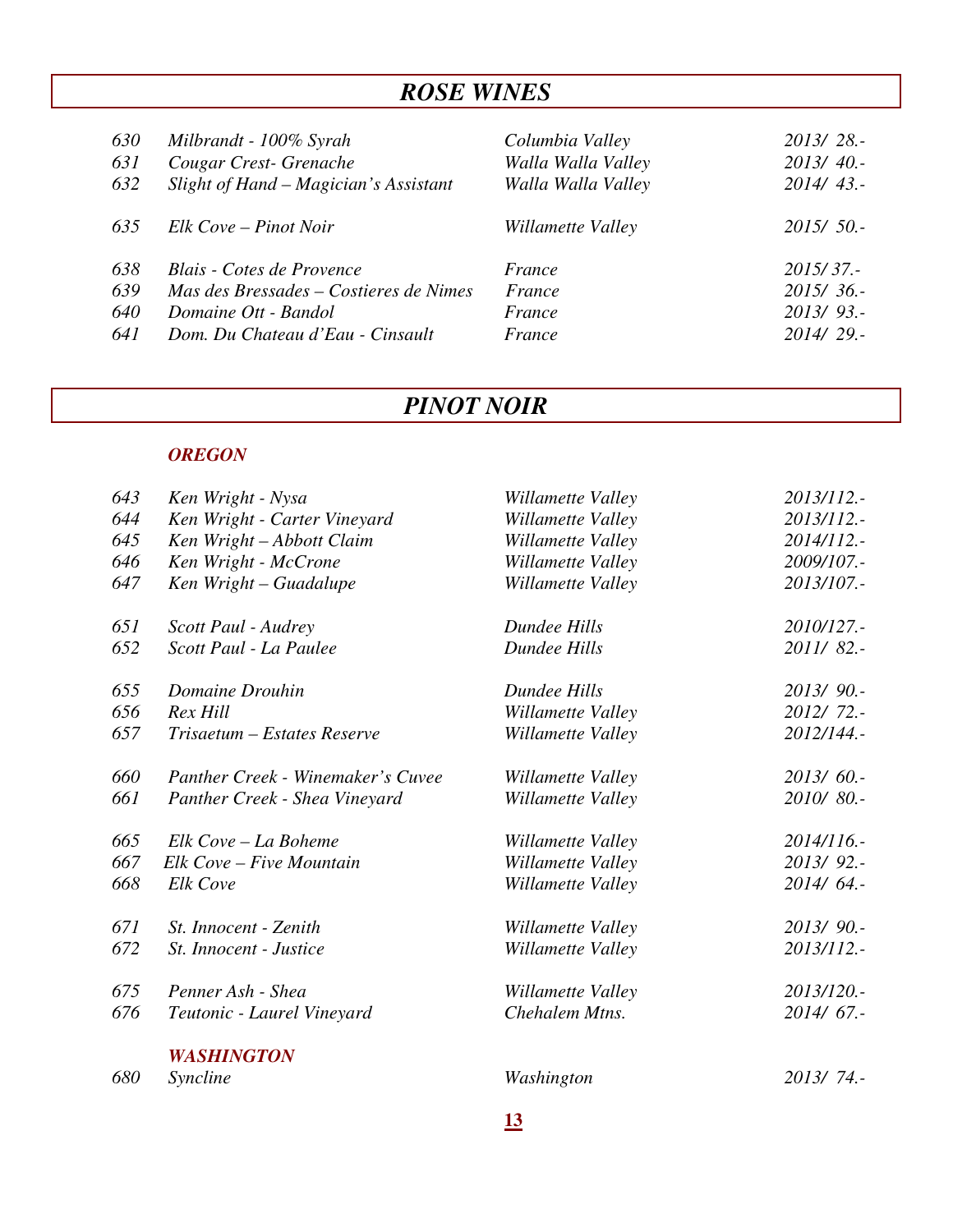# *ROSE WINES*

| 630<br>631<br>632 | Milbrandt - 100% Syrah<br>Cougar Crest-Grenache<br>Slight of Hand – Magician's Assistant | Columbia Valley<br>Walla Walla Valley<br>Walla Walla Valley | 2013/28.-<br>2013/40.<br>$2014/43$ . |
|-------------------|------------------------------------------------------------------------------------------|-------------------------------------------------------------|--------------------------------------|
| 635               | Elk Cove – Pinot Noir                                                                    | Willamette Valley                                           | 2015/50.                             |
| 638               | Blais - Cotes de Provence                                                                | France                                                      | 2015/37.                             |
| 639               | Mas des Bressades – Costieres de Nimes                                                   | France                                                      | 2015/36.                             |
| 640               | Domaine Ott - Bandol                                                                     | France                                                      | $2013/93$ .                          |
| 641               | Dom. Du Chateau d'Eau - Cinsault                                                         | France                                                      | 2014/29.-                            |

# *PINOT NOIR*

### *OREGON*

| 643 | Ken Wright - Nysa                 | Willamette Valley | 2013/112.-  |
|-----|-----------------------------------|-------------------|-------------|
| 644 | Ken Wright - Carter Vineyard      | Willamette Valley | 2013/112.-  |
| 645 | Ken Wright - Abbott Claim         | Willamette Valley | 2014/112.-  |
| 646 | Ken Wright - McCrone              | Willamette Valley | 2009/107.-  |
| 647 | Ken Wright - Guadalupe            | Willamette Valley | 2013/107.-  |
| 651 | Scott Paul - Audrey               | Dundee Hills      | 2010/127.-  |
| 652 | Scott Paul - La Paulee            | Dundee Hills      | 2011/82.-   |
| 655 | Domaine Drouhin                   | Dundee Hills      | 2013/90.-   |
| 656 | Rex Hill                          | Willamette Valley | 2012/72 .-  |
| 657 | Trisaetum - Estates Reserve       | Willamette Valley | 2012/144.-  |
| 660 | Panther Creek - Winemaker's Cuvee | Willamette Valley | $2013/60$ . |
| 661 | Panther Creek - Shea Vineyard     | Willamette Valley | 2010/80.-   |
| 665 | Elk Cove - La Boheme              | Willamette Valley | 2014/116.-  |
| 667 | Elk Cove - Five Mountain          | Willamette Valley | 2013/92 .-  |
| 668 | Elk Cove                          | Willamette Valley | 2014/64.-   |
| 671 | St. Innocent - Zenith             | Willamette Valley | 2013/90.-   |
| 672 | St. Innocent - Justice            | Willamette Valley | 2013/112.-  |
| 675 | Penner Ash - Shea                 | Willamette Valley | 2013/120.-  |
| 676 | Teutonic - Laurel Vineyard        | Chehalem Mtns.    | $2014/67$ . |
|     | <b>WASHINGTON</b>                 |                   |             |
| 680 | Syncline                          | Washington        | 2013/74.-   |
|     |                                   |                   |             |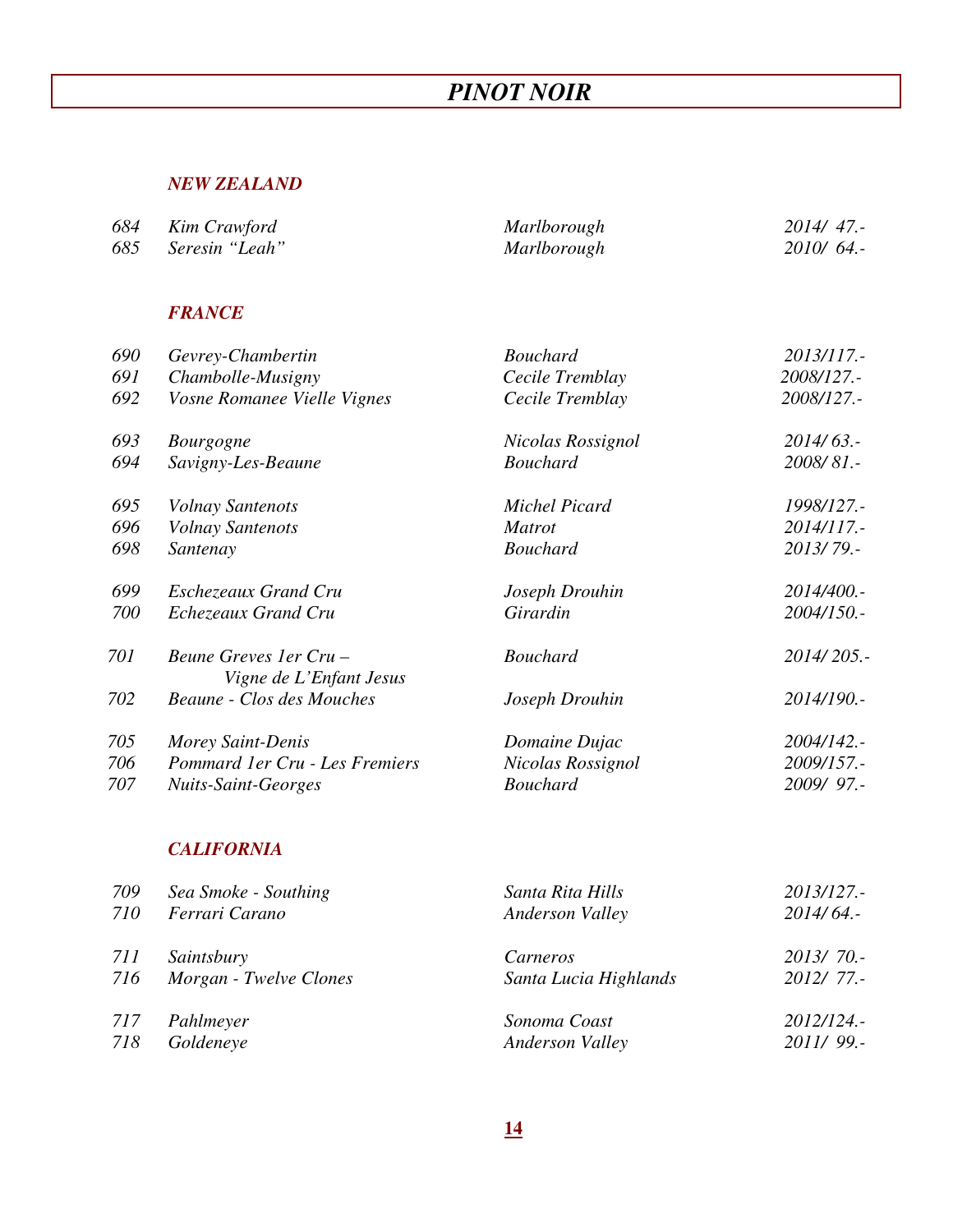# *PINOT NOIR*

#### *NEW ZEALAND*

| 684 Kim Crawford   | Marlborough        | $2014/47$ . |
|--------------------|--------------------|-------------|
| 685 Seresin "Leah" | <i>Marlborough</i> | $2010/64$ . |

### *FRANCE*

| 690 | Gevrey-Chambertin                                  | <b>Bouchard</b>   | 2013/117.-  |
|-----|----------------------------------------------------|-------------------|-------------|
| 691 | Chambolle-Musigny                                  | Cecile Tremblay   | 2008/127.-  |
| 692 | Vosne Romanee Vielle Vignes                        | Cecile Tremblay   | 2008/127.-  |
| 693 | <b>Bourgogne</b>                                   | Nicolas Rossignol | $2014/63$ . |
| 694 | Savigny-Les-Beaune                                 | <b>Bouchard</b>   | 2008/81 .-  |
| 695 | <b>Volnay Santenots</b>                            | Michel Picard     | 1998/127.-  |
| 696 | <b>Volnay Santenots</b>                            | <i>Matrot</i>     | 2014/117.-  |
| 698 | Santenay                                           | <b>Bouchard</b>   | 2013/79.-   |
| 699 | Eschezeaux Grand Cru                               | Joseph Drouhin    | 2014/400.-  |
| 700 | Echezeaux Grand Cru                                | Girardin          | 2004/150.-  |
| 701 | Beune Greves 1 er Cru –<br>Vigne de L'Enfant Jesus | <b>Bouchard</b>   | 2014/205.-  |
| 702 | <b>Beaune - Clos des Mouches</b>                   | Joseph Drouhin    | 2014/190.-  |
| 705 | Morey Saint-Denis                                  | Domaine Dujac     | 2004/142.-  |
| 706 | Pommard 1er Cru - Les Fremiers                     | Nicolas Rossignol | 2009/157.-  |
| 707 | <b>Nuits-Saint-Georges</b>                         | <b>Bouchard</b>   | 2009/97 .-  |
|     |                                                    |                   |             |

#### *CALIFORNIA*

| 709        | Sea Smoke - Southing   | Santa Rita Hills       | 2013/127.-  |
|------------|------------------------|------------------------|-------------|
| 710        | Ferrari Carano         | <b>Anderson Valley</b> | $2014/64$ . |
| <i>711</i> | Saintsbury             | Carneros               | 2013/70.    |
| 716        | Morgan - Twelve Clones | Santa Lucia Highlands  | 2012/77.-   |
| 717        | Pahlmeyer              | Sonoma Coast           | 2012/124.   |
| 718        | Goldeneye              | <b>Anderson Valley</b> | 2011/99.    |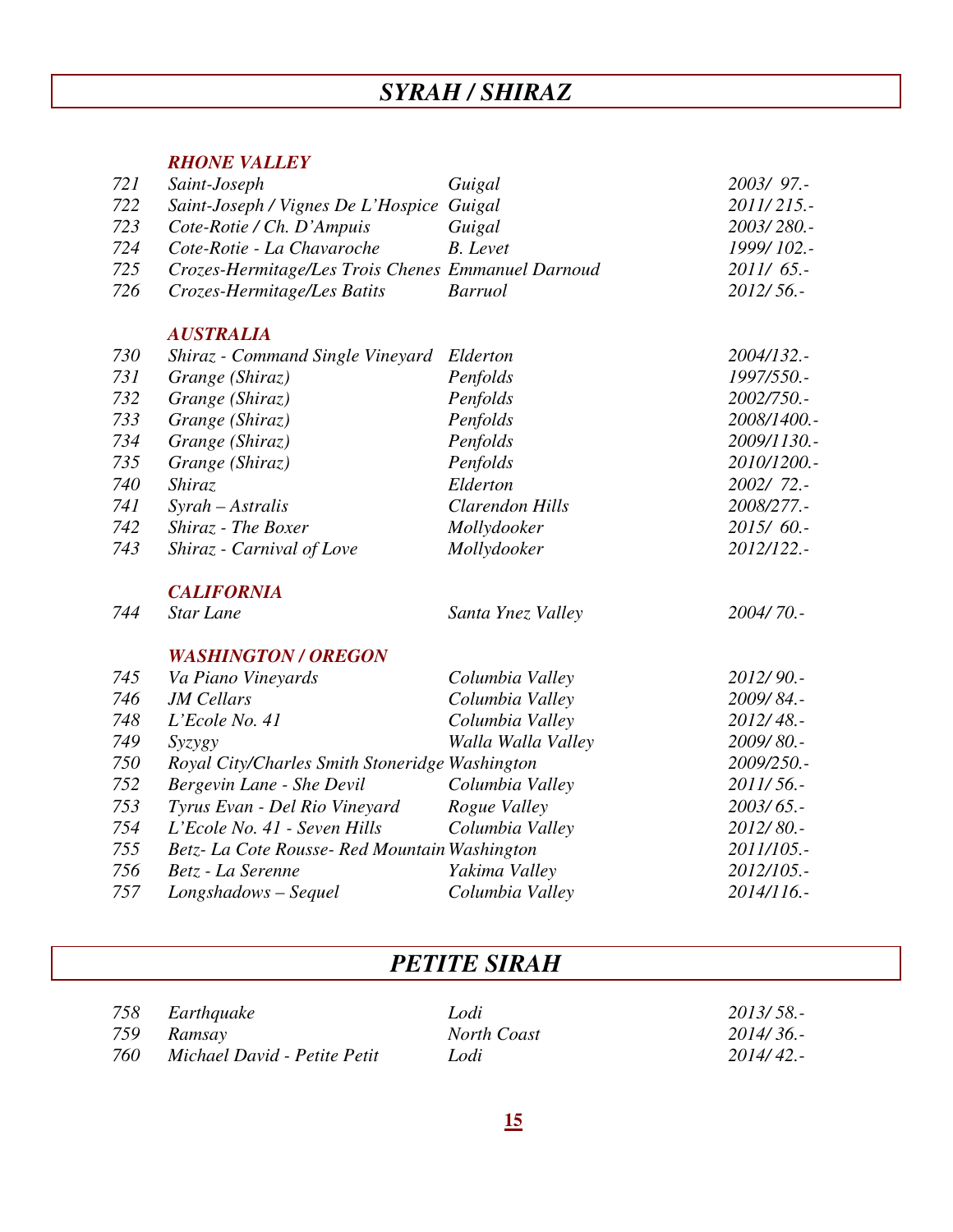# *SYRAH / SHIRAZ*

#### *RHONE VALLEY*

| 721 | Saint-Joseph                                       | Guigal                 | 2003/97.-   |
|-----|----------------------------------------------------|------------------------|-------------|
| 722 | Saint-Joseph / Vignes De L'Hospice Guigal          |                        | 2011/215.-  |
| 723 | Cote-Rotie / Ch. D'Ampuis                          | Guigal                 | 2003/280.-  |
| 724 | Cote-Rotie - La Chavaroche                         | <b>B.</b> Levet        | 1999/102.-  |
| 725 | Crozes-Hermitage/Les Trois Chenes Emmanuel Darnoud |                        | $2011/65$ . |
| 726 | Crozes-Hermitage/Les Batits                        | <b>Barruol</b>         | 2012/56.-   |
|     | <b>AUSTRALIA</b>                                   |                        |             |
| 730 | Shiraz - Command Single Vineyard                   | Elderton               | 2004/132.-  |
| 731 | Grange (Shiraz)                                    | Penfolds               | 1997/550.-  |
| 732 | Grange (Shiraz)                                    | Penfolds               | 2002/750.-  |
| 733 | Grange (Shiraz)                                    | Penfolds               | 2008/1400.- |
| 734 | Grange (Shiraz)                                    | Penfolds               | 2009/1130.- |
| 735 | Grange (Shiraz)                                    | Penfolds               | 2010/1200.- |
| 740 | <b>Shiraz</b>                                      | Elderton               | $2002/72$ . |
| 741 | Syrah - Astralis                                   | <b>Clarendon Hills</b> | 2008/277.-  |
| 742 | Shiraz - The Boxer                                 | Mollydooker            | 2015/60.-   |
| 743 | Shiraz - Carnival of Love                          | Mollydooker            | 2012/122.-  |
|     | <b>CALIFORNIA</b>                                  |                        |             |
| 744 | <b>Star Lane</b>                                   | Santa Ynez Valley      | 2004/70 .-  |
|     | <b>WASHINGTON / OREGON</b>                         |                        |             |
| 745 | Va Piano Vineyards                                 | Columbia Valley        | 2012/90.-   |
| 746 | <b>JM</b> Cellars                                  | Columbia Valley        | 2009/84.-   |
| 748 | L'Ecole No. 41                                     | Columbia Valley        | 2012/48 .-  |
| 749 | Syzygy                                             | Walla Walla Valley     | 2009/80 .-  |
| 750 | Royal City/Charles Smith Stoneridge Washington     |                        | 2009/250.-  |
| 752 | Bergevin Lane - She Devil                          | Columbia Valley        | 2011/56.-   |
| 753 | Tyrus Evan - Del Rio Vineyard                      | Rogue Valley           | 2003/65 .-  |
| 754 | L'Ecole No. 41 - Seven Hills                       | Columbia Valley        | 2012/80 .-  |
| 755 | Betz- La Cote Rousse- Red Mountain Washington      |                        | 2011/105.-  |
| 756 | Betz - La Serenne                                  | Yakima Valley          | 2012/105.-  |
| 757 | Longshadows - Sequel                               | Columbia Valley        | 2014/116.-  |

# *PETITE SIRAH*

 *759 Ramsay North Coast 2014/ 36.- 760 Michael David - Petite Petit Lodi 2014/ 42.-* 

*758 Earthquake Lodi 2013/ 58.-*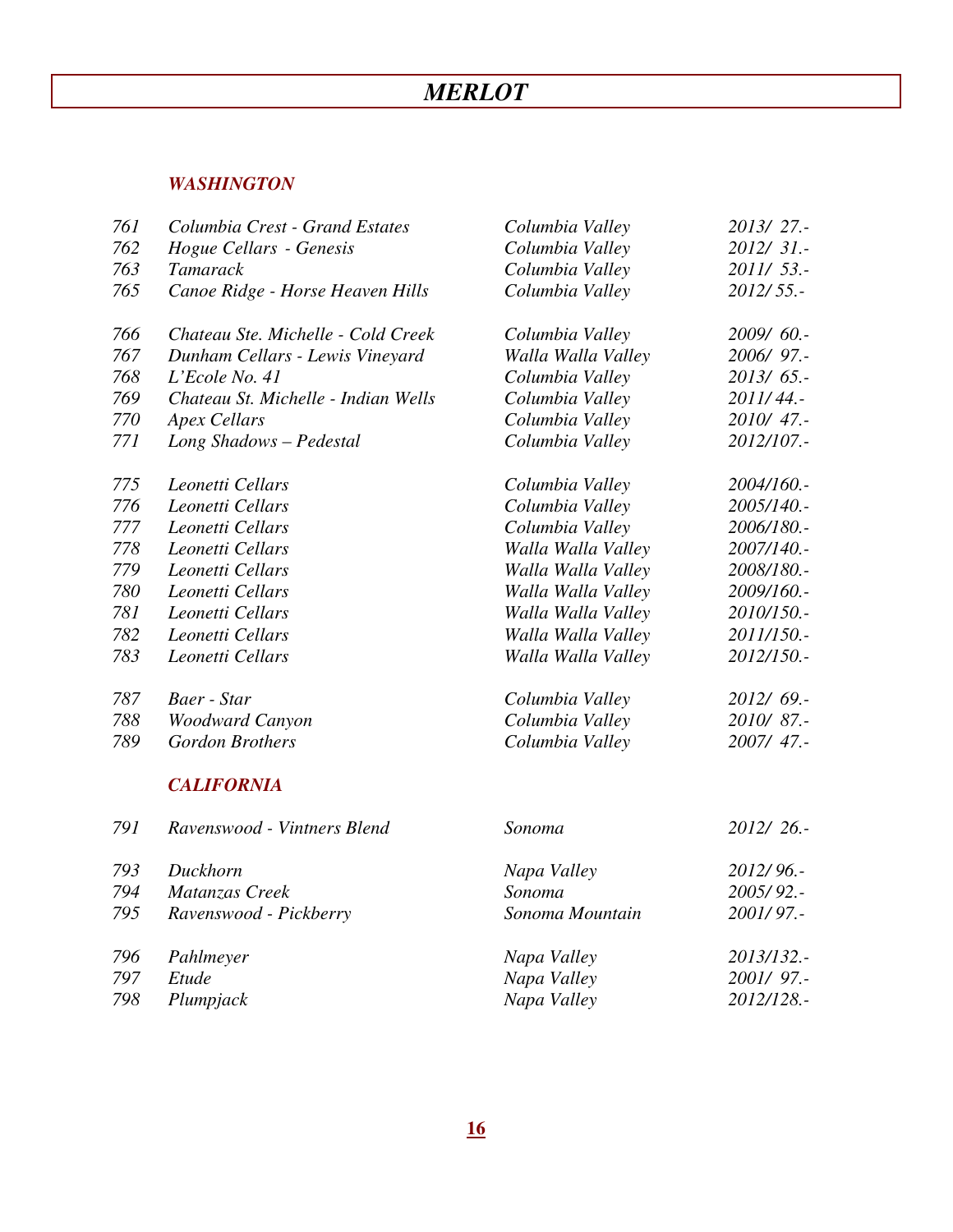# *MERLOT*

#### *WASHINGTON*

| 761 | Columbia Crest - Grand Estates      | Columbia Valley    | 2013/27 .-  |
|-----|-------------------------------------|--------------------|-------------|
| 762 | Hogue Cellars - Genesis             | Columbia Valley    | 2012/31.-   |
| 763 | <b>Tamarack</b>                     | Columbia Valley    | 2011/53 .-  |
| 765 | Canoe Ridge - Horse Heaven Hills    | Columbia Valley    | 2012/55.-   |
| 766 | Chateau Ste. Michelle - Cold Creek  | Columbia Valley    | 2009/60 .-  |
| 767 | Dunham Cellars - Lewis Vineyard     | Walla Walla Valley | 2006/97 .-  |
| 768 | L'Ecole No. 41                      | Columbia Valley    | 2013/65 .-  |
| 769 | Chateau St. Michelle - Indian Wells | Columbia Valley    | 2011/44.-   |
| 770 | <b>Apex Cellars</b>                 | Columbia Valley    | 2010/47 .-  |
| 771 | Long Shadows - Pedestal             | Columbia Valley    | 2012/107 .- |
| 775 | Leonetti Cellars                    | Columbia Valley    | 2004/160 .- |
| 776 | Leonetti Cellars                    | Columbia Valley    | 2005/140.-  |
| 777 | Leonetti Cellars                    | Columbia Valley    | 2006/180.-  |
| 778 | Leonetti Cellars                    | Walla Walla Valley | 2007/140.-  |
| 779 | Leonetti Cellars                    | Walla Walla Valley | 2008/180 .- |
| 780 | Leonetti Cellars                    | Walla Walla Valley | 2009/160.-  |
| 781 | Leonetti Cellars                    | Walla Walla Valley | 2010/150 .- |
| 782 | Leonetti Cellars                    | Walla Walla Valley | 2011/150.-  |
| 783 | Leonetti Cellars                    | Walla Walla Valley | 2012/150 .- |
| 787 | Baer - Star                         | Columbia Valley    | 2012/69.-   |
| 788 | <b>Woodward Canyon</b>              | Columbia Valley    | 2010/87.-   |
| 789 | <b>Gordon Brothers</b>              | Columbia Valley    | 2007/ 47.-  |
|     | <b>CALIFORNIA</b>                   |                    |             |
| 791 | Ravenswood - Vintners Blend         | Sonoma             | 2012/26.-   |
| 793 | Duckhorn                            | Napa Valley        | 2012/96.-   |
| 794 | Matanzas Creek                      | Sonoma             | 2005/92 .-  |
| 795 | Ravenswood - Pickberry              | Sonoma Mountain    | 2001/97.-   |
| 796 | Pahlmeyer                           | Napa Valley        | 2013/132 .- |
| 797 | Etude                               | Napa Valley        | 2001/97 .-  |
| 798 | Plumpjack                           | Napa Valley        | 2012/128.-  |
|     |                                     |                    |             |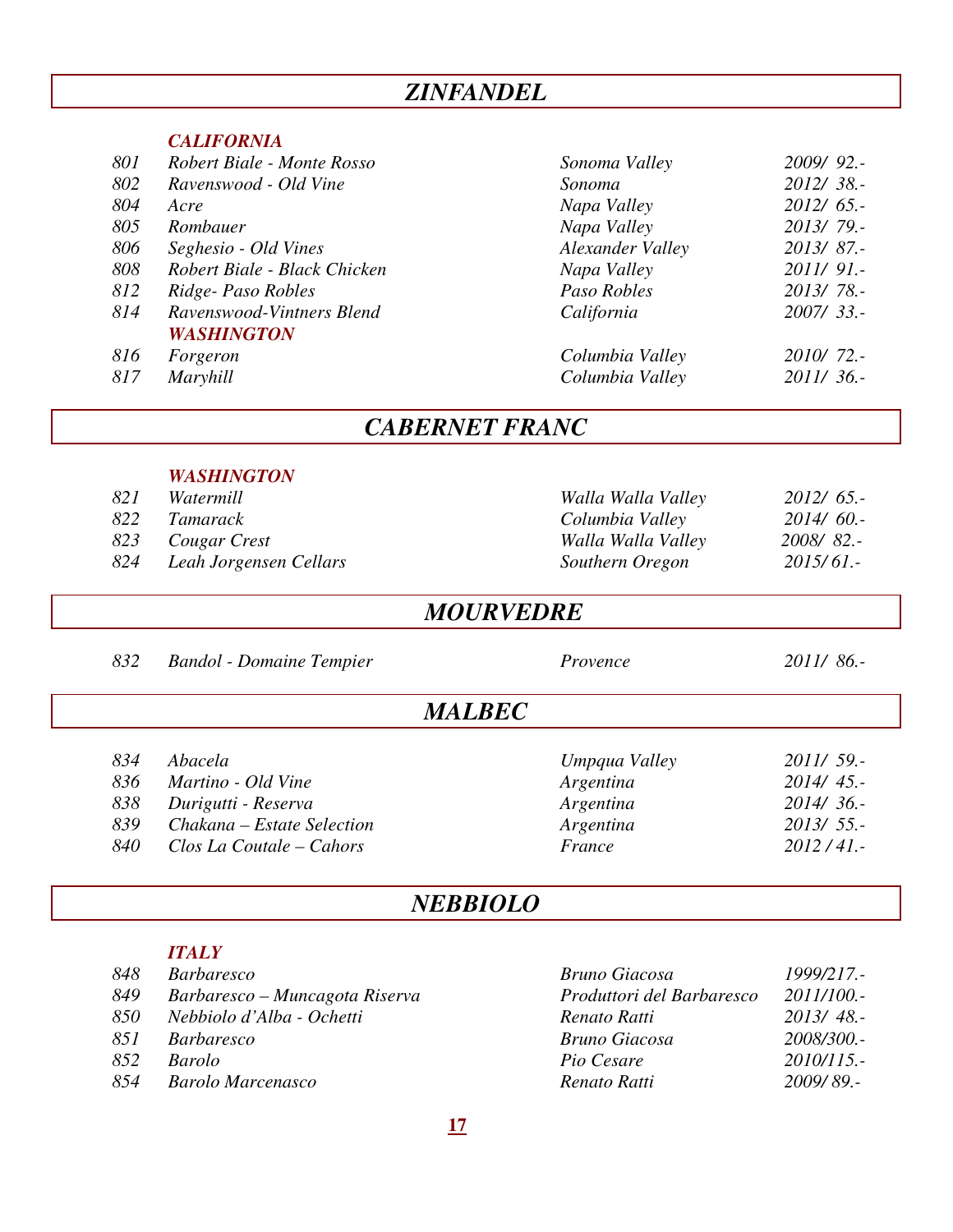### *ZINFANDEL*

#### *CALIFORNIA*

| 801 | Robert Biale - Monte Rosso   | Sonoma Valley    | 2009/92 .-   |
|-----|------------------------------|------------------|--------------|
| 802 | Ravenswood - Old Vine        | Sonoma           | $2012/38$ .  |
| 804 | Acre                         | Napa Valley      | $2012/65$ .  |
| 805 | Rombauer                     | Napa Valley      | 2013/79.     |
| 806 | Seghesio - Old Vines         | Alexander Valley | $2013/87$ .  |
| 808 | Robert Biale - Black Chicken | Napa Valley      | $2011/91$ .  |
| 812 | Ridge-Paso Robles            | Paso Robles      | $2013/78. -$ |
| 814 | Ravenswood-Vintners Blend    | California       | $2007/33$ .  |
|     | <b>WASHINGTON</b>            |                  |              |
| 816 | Forgeron                     | Columbia Valley  | 2010/72.-    |
| 817 | Maryhill                     | Columbia Valley  | $2011/36$ .  |
|     |                              |                  |              |

### *CABERNET FRANC*

#### *WASHINGTON*

| 821 | Watermill        | Walla Walla Valley | $2012/65$ . |
|-----|------------------|--------------------|-------------|
|     | 822 Tamarack     | Columbia Valley    | $2014/60$ . |
|     | 823 Cougar Crest | Walla Walla Valley | 2008/82.-   |

# *821 Watermill Walla Walla Valley 2012/ 65.- 824 Leah Jorgensen Cellars Southern Oregon 2015/ 61.-*

### *MOURVEDRE*

 *832 Bandol - Domaine Tempier Provence 2011/ 86.-* 

### *MALBEC*

*834 Abacela Umpqua Valley 2011/ 59.-* 

- *836 Martino Old Vine Argentina 2014/ 45.-*
- 
- *838 Durigutti Reserva Argentina 2014/ 36.- 839 Chakana – Estate Selection Argentina 2013/ 55.-*
- *840 Clos La Coutale Cahors France 2012 / 41.-*

### *NEBBIOLO*

#### *ITALY*

| 848 | <i>Barbaresco</i>              | Bruno Giacosa             | 1999/217.-  |
|-----|--------------------------------|---------------------------|-------------|
| 849 | Barbaresco – Muncagota Riserva | Produttori del Barbaresco | 2011/100.-  |
| 850 | Nebbiolo d'Alba - Ochetti      | Renato Ratti              | $2013/48$ . |
| 851 | <i>Barbaresco</i>              | Bruno Giacosa             | 2008/300.-  |
| 852 | <b>Barolo</b>                  | Pio Cesare                | 2010/115.   |
| 854 | <b>Barolo Marcenasco</b>       | Renato Ratti              | 2009/89.-   |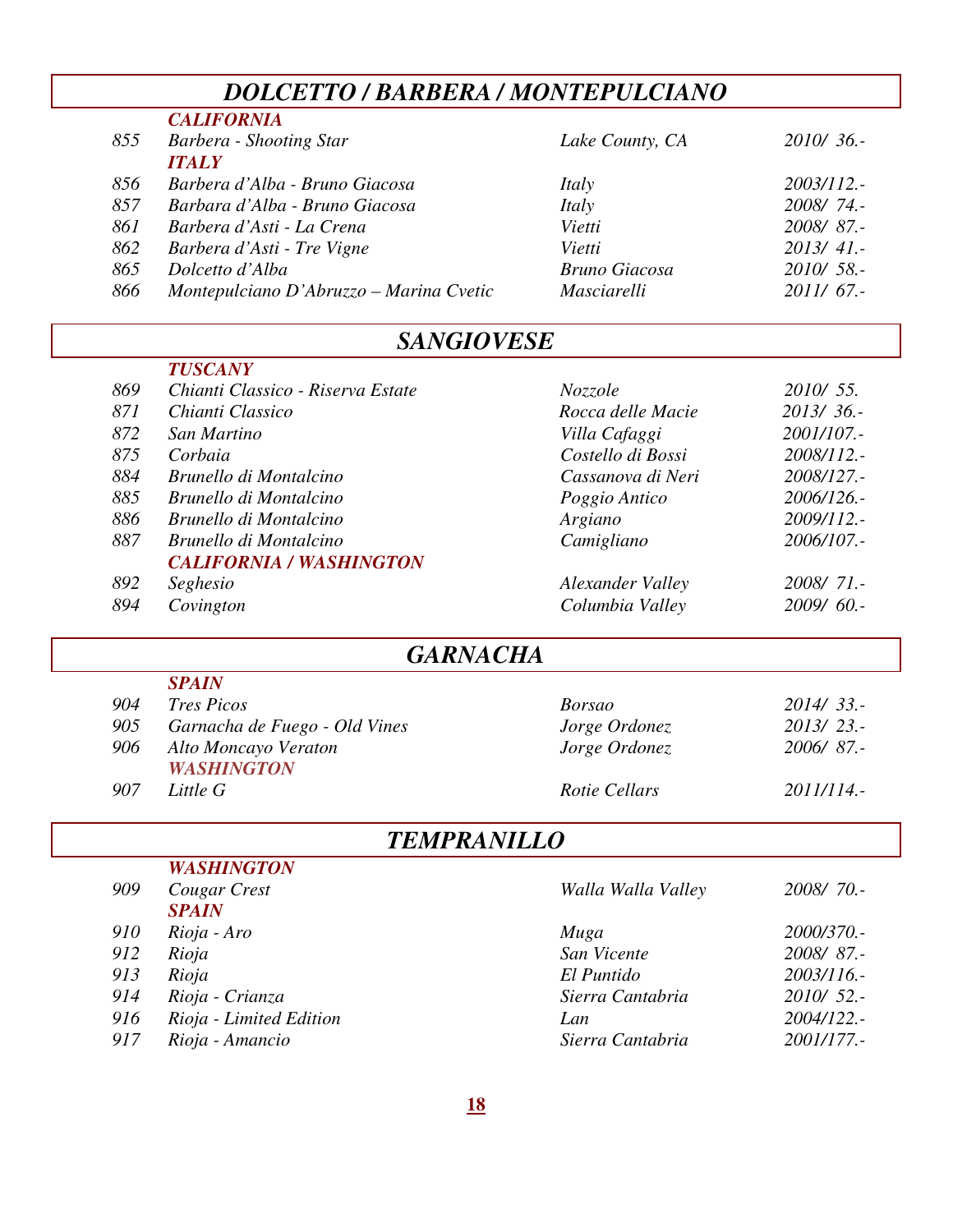# *DOLCETTO / BARBERA / MONTEPULCIANO*

| 855 | <b>CALIFORNIA</b><br>Barbera - Shooting Star | Lake County, CA | $2010/36$ . |
|-----|----------------------------------------------|-----------------|-------------|
|     | <b>ITALY</b>                                 |                 |             |
| 856 | Barbera d'Alba - Bruno Giacosa               | Italy           | 2003/112.-  |
| 857 | Barbara d'Alba - Bruno Giacosa               | Italy           | 2008/74.-   |
| 861 | Barbera d'Asti - La Crena                    | Vietti          | 2008/87.-   |
| 862 | Barbera d'Asti - Tre Vigne                   | Vietti          | $2013/41$ . |
| 865 | Dolcetto d'Alba                              | Bruno Giacosa   | $2010/58$ . |
| 866 | Montepulciano D'Abruzzo – Marina Cvetic      | Masciarelli     | 2011/67     |

### *SANGIOVESE*

| <b>TUSCANY</b>                                             |             |
|------------------------------------------------------------|-------------|
| 869<br>Chianti Classico - Riserva Estate<br><i>Nozzole</i> | 2010/ 55.   |
| 871<br>Chianti Classico<br>Rocca delle Macie               | 2013/36.    |
| 872<br>San Martino<br>Villa Cafaggi                        | 2001/107.-  |
| Costello di Bossi<br>875<br>Corbaia                        | 2008/112.-  |
| 884<br>Brunello di Montalcino<br>Cassanova di Neri         | 2008/127.-  |
| 885<br>Brunello di Montalcino<br>Poggio Antico             | 2006/126.-  |
| 886<br>Brunello di Montalcino<br>Argiano                   | 2009/112.-  |
| 887<br>Camigliano<br>Brunello di Montalcino                | 2006/107.-  |
| <b>CALIFORNIA / WASHINGTON</b>                             |             |
| 892<br>Seghesio<br><b>Alexander Valley</b>                 | 2008/71.-   |
| Columbia Valley<br>894<br>Covington                        | $2009/60$ . |

### *GARNACHA*

| 904 | <i>Tres Picos</i>                         | <i>Borsao</i> | 2014/33.    |
|-----|-------------------------------------------|---------------|-------------|
| 905 | Garnacha de Fuego - Old Vines             | Jorge Ordonez | $2013/23$ . |
| 906 | Alto Moncayo Veraton<br><b>WASHINGTON</b> | Jorge Ordonez | 2006/87.-   |
| 907 | Little G                                  | Rotie Cellars | 2011/114.   |

# *TEMPRANILLO*

| 909<br>Cougar Crest<br>Walla Walla Valley<br><b>SPAIN</b> | 2008/70.-   |
|-----------------------------------------------------------|-------------|
|                                                           |             |
|                                                           |             |
| 910<br>Rioja - Aro<br>Muga                                | 2000/370.-  |
| 912<br>Rioja<br>San Vicente                               | 2008/87.-   |
| El Puntido<br>913<br>Rioja                                | 2003/116.   |
| Rioja - Crianza<br>Sierra Cantabria<br>914                | $2010/52$ . |
| Rioja - Limited Edition<br>916<br>Lan                     | 2004/122.-  |
| Rioja - Amancio<br>917<br>Sierra Cantabria                | 2001/177.-  |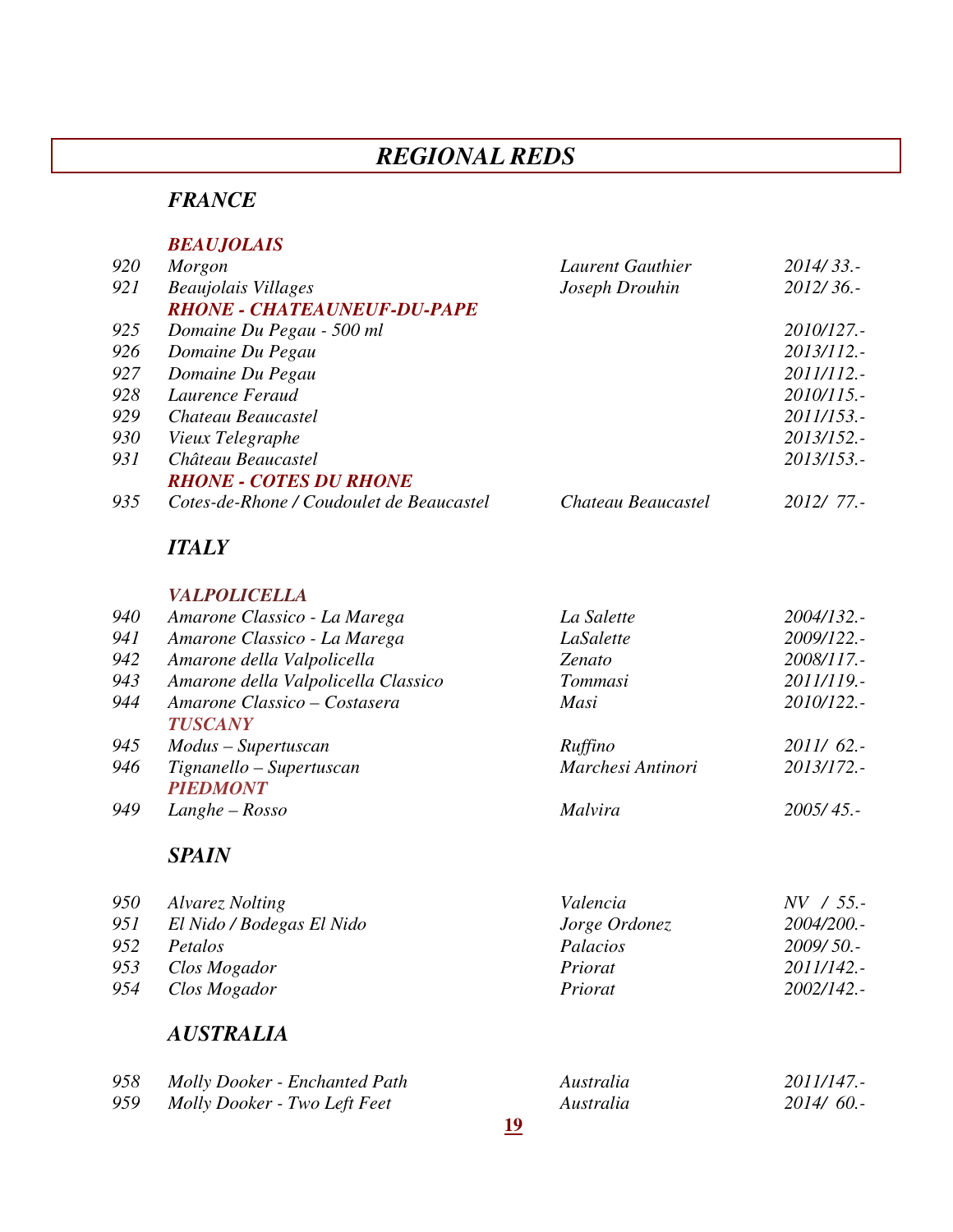# *REGIONAL REDS*

### *FRANCE*

#### *BEAUJOLAIS*

| 920 | Morgon                                   | Laurent Gauthier   | 2014/33.-  |
|-----|------------------------------------------|--------------------|------------|
| 921 | <b>Beaujolais Villages</b>               | Joseph Drouhin     | 2012/36.-  |
|     | <b>RHONE - CHATEAUNEUF-DU-PAPE</b>       |                    |            |
| 925 | Domaine Du Pegau - 500 ml                |                    | 2010/127.- |
| 926 | Domaine Du Pegau                         |                    | 2013/112.- |
| 927 | Domaine Du Pegau                         |                    | 2011/112.- |
| 928 | Laurence Feraud                          |                    | 2010/115.  |
| 929 | Chateau Beaucastel                       |                    | 2011/153.- |
| 930 | Vieux Telegraphe                         |                    | 2013/152.- |
| 931 | Château Beaucastel                       |                    | 2013/153.- |
|     | <b>RHONE - COTES DU RHONE</b>            |                    |            |
| 935 | Cotes-de-Rhone / Coudoulet de Beaucastel | Chateau Beaucastel | 2012/77.   |

### *ITALY*

#### *VALPOLICELLA*

| 940 | Amarone Classico - La Marega        | La Salette        | 2004/132.   |
|-----|-------------------------------------|-------------------|-------------|
| 941 | Amarone Classico - La Marega        | LaSalette         | 2009/122.-  |
| 942 | Amarone della Valpolicella          | Zenato            | 2008/117.-  |
| 943 | Amarone della Valpolicella Classico | Tommasi           | 2011/119.   |
| 944 | Amarone Classico - Costasera        | Masi              | 2010/122.-  |
|     | <b>TUSCANY</b>                      |                   |             |
| 945 | Modus – Supertuscan                 | Ruffino           | $2011/62$ . |
| 946 | Tignanello – Supertuscan            | Marchesi Antinori | 2013/172.-  |
|     | <b>PIEDMONT</b>                     |                   |             |
| 949 | $Langle-Rosso$                      | <b>Malvira</b>    | 2005/45.    |
|     |                                     |                   |             |

### *SPAIN*

| 950  | Alvarez Nolting           | Valencia      | $NV / 55$ . |
|------|---------------------------|---------------|-------------|
| 951  | El Nido / Bodegas El Nido | Jorge Ordonez | 2004/200.-  |
| 9.52 | <i>Petalos</i>            | Palacios      | $2009/50$ . |
| 953  | Clos Mogador              | Priorat       | 2011/142.   |
| 954  | Clos Mogador              | Priorat       | 2002/142.   |

### *AUSTRALIA*

| 958 | Molly Dooker - Enchanted Path | Australia | 2011/147.   |
|-----|-------------------------------|-----------|-------------|
| 959 | Molly Dooker - Two Left Feet  | Australia | $2014/60$ . |
|     |                               |           |             |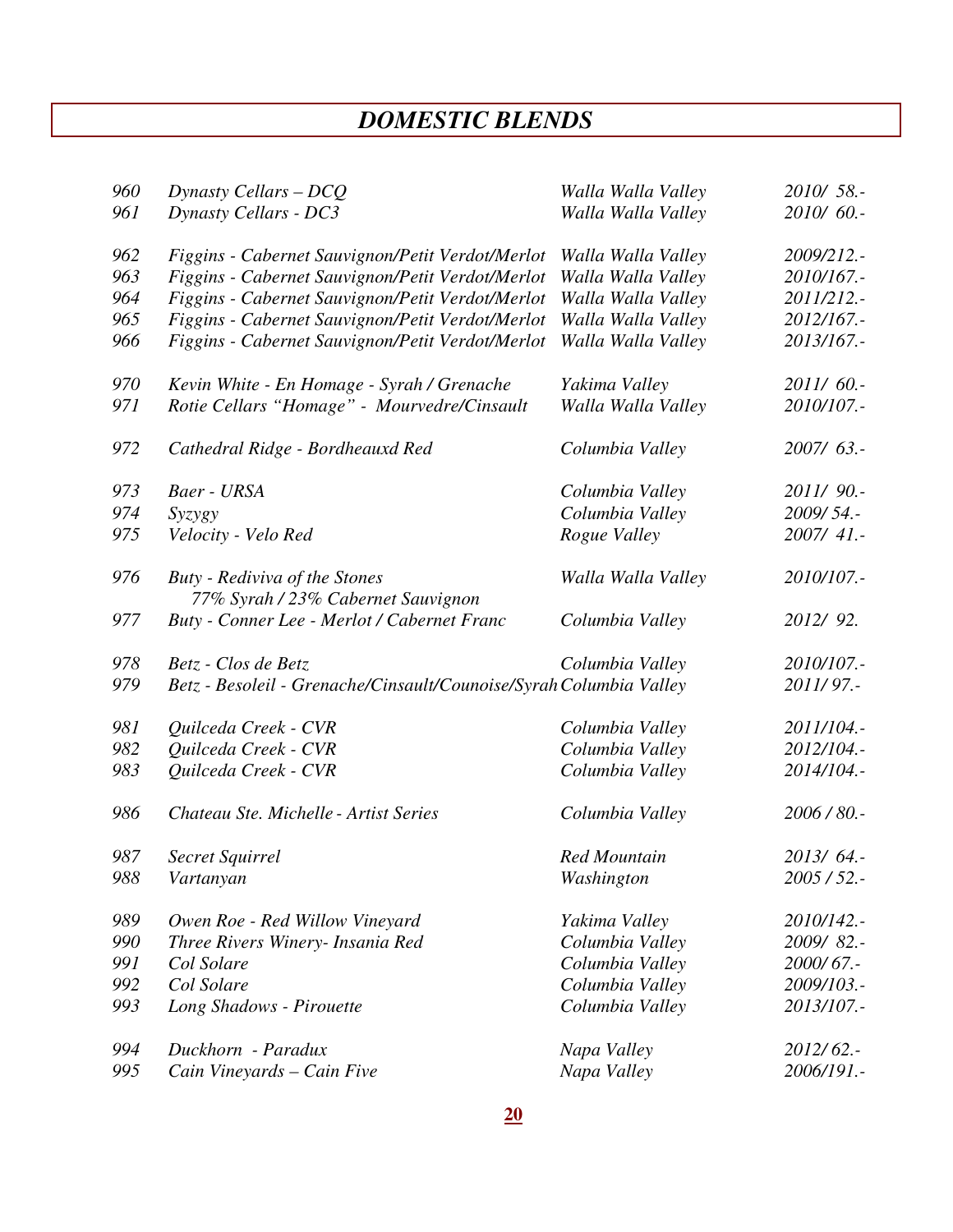# *DOMESTIC BLENDS*

| 960 | Dynasty Cellars - DCQ                                                      | Walla Walla Valley  | 2010/ 58.-  |
|-----|----------------------------------------------------------------------------|---------------------|-------------|
| 961 | <b>Dynasty Cellars - DC3</b>                                               | Walla Walla Valley  | 2010/60.-   |
| 962 | Figgins - Cabernet Sauvignon/Petit Verdot/Merlot                           | Walla Walla Valley  | 2009/212.-  |
| 963 | Figgins - Cabernet Sauvignon/Petit Verdot/Merlot                           | Walla Walla Valley  | 2010/167.-  |
| 964 | Figgins - Cabernet Sauvignon/Petit Verdot/Merlot                           | Walla Walla Valley  | 2011/212.-  |
| 965 | Figgins - Cabernet Sauvignon/Petit Verdot/Merlot                           | Walla Walla Valley  | 2012/167.-  |
| 966 | Figgins - Cabernet Sauvignon/Petit Verdot/Merlot                           | Walla Walla Valley  | 2013/167.-  |
| 970 | Kevin White - En Homage - Syrah / Grenache                                 | Yakima Valley       | 2011/60 .-  |
| 971 | Rotie Cellars "Homage" - Mourvedre/Cinsault                                | Walla Walla Valley  | 2010/107 .- |
| 972 | Cathedral Ridge - Bordheauxd Red                                           | Columbia Valley     | 2007/63 .-  |
| 973 | Baer - URSA                                                                | Columbia Valley     | 2011/90.-   |
| 974 | Syzygy                                                                     | Columbia Valley     | 2009/54.-   |
| 975 | Velocity - Velo Red                                                        | Rogue Valley        | 2007/ 41.-  |
| 976 | <b>Buty</b> - Rediviva of the Stones<br>77% Syrah / 23% Cabernet Sauvignon | Walla Walla Valley  | 2010/107.-  |
| 977 | Buty - Conner Lee - Merlot / Cabernet Franc                                | Columbia Valley     | 2012/92.    |
| 978 | Betz - Clos de Betz                                                        | Columbia Valley     | 2010/107 .- |
| 979 | Betz - Besoleil - Grenache/Cinsault/Counoise/Syrah Columbia Valley         |                     | 2011/97.-   |
| 981 | Quilceda Creek - CVR                                                       | Columbia Valley     | 2011/104.-  |
| 982 | Quilceda Creek - CVR                                                       | Columbia Valley     | 2012/104.-  |
| 983 | Quilceda Creek - CVR                                                       | Columbia Valley     | 2014/104.-  |
| 986 | Chateau Ste. Michelle - Artist Series                                      | Columbia Valley     | 2006/80.-   |
| 987 | Secret Squirrel                                                            | <b>Red Mountain</b> | 2013/64.-   |
| 988 | Vartanyan                                                                  | Washington          | $2005/52$ . |
| 989 | Owen Roe - Red Willow Vineyard                                             | Yakima Valley       | 2010/142.-  |
| 990 | Three Rivers Winery- Insania Red                                           | Columbia Valley     | 2009/82 .-  |
| 991 | Col Solare                                                                 | Columbia Valley     | 2000/67.-   |
| 992 | Col Solare                                                                 | Columbia Valley     | 2009/103.-  |
| 993 | Long Shadows - Pirouette                                                   | Columbia Valley     | 2013/107 .- |
| 994 | Duckhorn - Paradux                                                         | Napa Valley         | $2012/62$ . |
| 995 | Cain Vineyards - Cain Five                                                 | Napa Valley         | 2006/191.-  |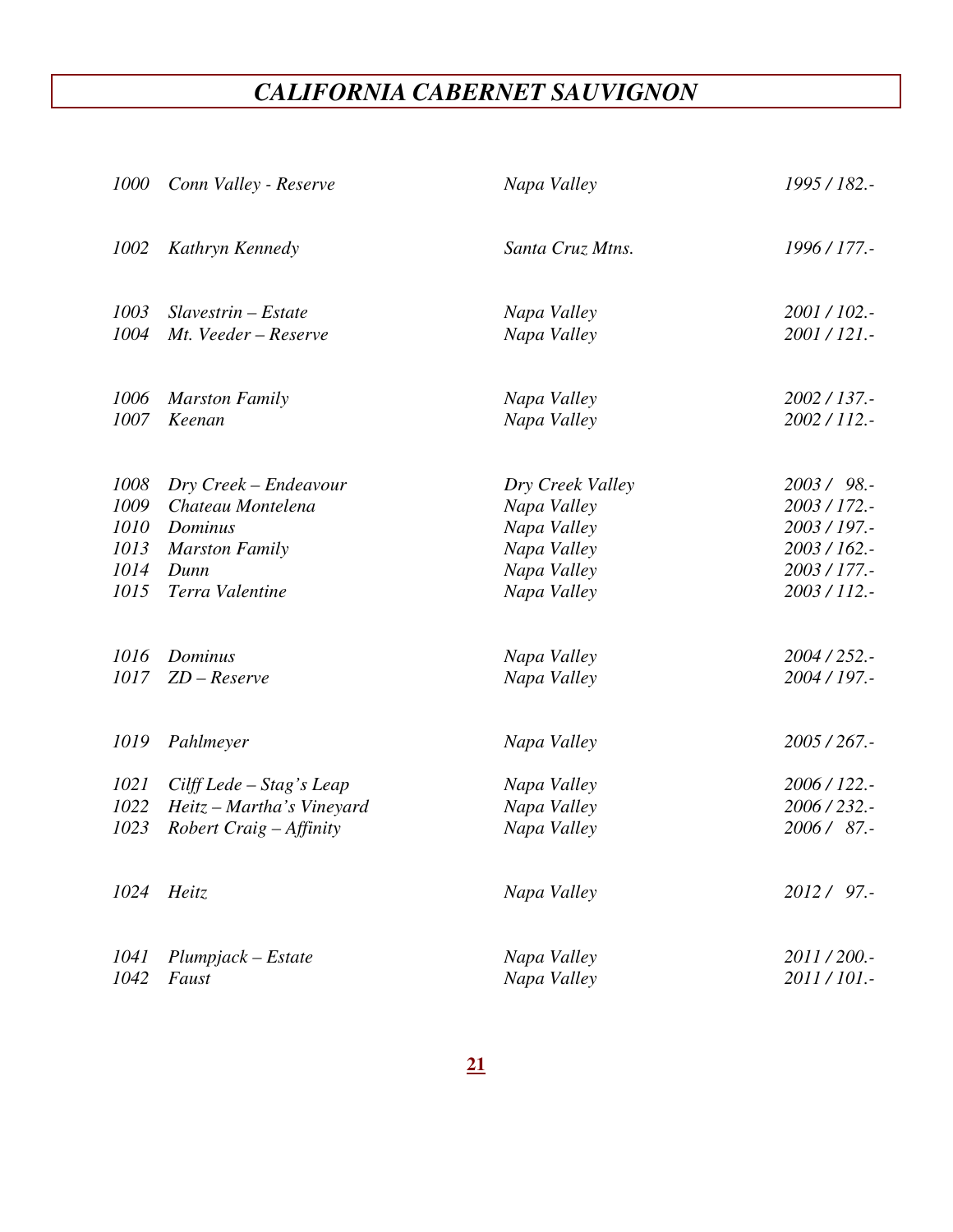# *CALIFORNIA CABERNET SAUVIGNON*

|      | 1000 Conn Valley - Reserve | Napa Valley      | 1995 / 182.- |
|------|----------------------------|------------------|--------------|
| 1002 | Kathryn Kennedy            | Santa Cruz Mtns. | 1996 / 177.- |
| 1003 | $Slavestrin-Estate$        | Napa Valley      | 2001/102.-   |
| 1004 | Mt. Veeder - Reserve       | Napa Valley      | 2001/121.-   |
| 1006 | <b>Marston Family</b>      | Napa Valley      | 2002 / 137.- |
| 1007 | Keenan                     | Napa Valley      | 2002/112.-   |
| 1008 | Dry Creek – Endeavour      | Dry Creek Valley | 2003/98.-    |
| 1009 | Chateau Montelena          | Napa Valley      | 2003/172.-   |
| 1010 | Dominus                    | Napa Valley      | 2003 / 197.- |
| 1013 | <b>Marston Family</b>      | Napa Valley      | 2003/162.-   |
| 1014 | Dunn                       | Napa Valley      | 2003 / 177.- |
| 1015 | Terra Valentine            | Napa Valley      | 2003/112.-   |
| 1016 | Dominus                    | Napa Valley      | 2004 / 252.- |
| 1017 | $ZD - Reserve$             | Napa Valley      | 2004 / 197.- |
| 1019 | Pahlmeyer                  | Napa Valley      | 2005/267.-   |
| 1021 | Cilff Lede - Stag's Leap   | Napa Valley      | 2006/122.-   |
| 1022 | Heitz - Martha's Vineyard  | Napa Valley      | 2006/232.-   |
| 1023 | Robert Craig - Affinity    | Napa Valley      | 2006/87.-    |
|      | 1024 Heitz                 | Napa Valley      | 2012 / 97.-  |
| 1041 | $Plumpjack - Estate$       | Napa Valley      | 2011/200.-   |
| 1042 | Faust                      | Napa Valley      | 2011/101.-   |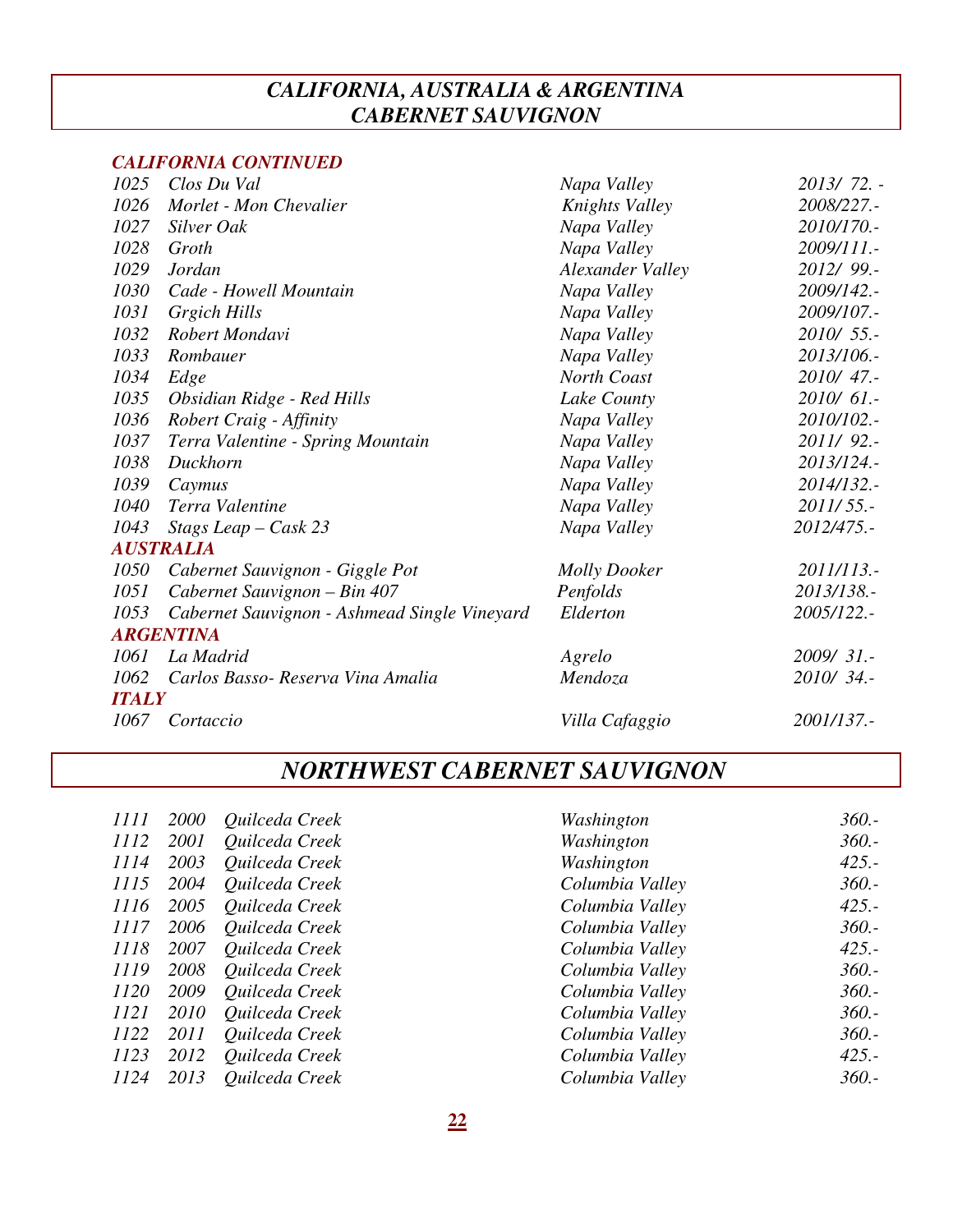### *CALIFORNIA, AUSTRALIA & ARGENTINA CABERNET SAUVIGNON*

#### *CALIFORNIA CONTINUED*

| 1025         | Clos Du Val                                  | Napa Valley             | 2013/72. - |
|--------------|----------------------------------------------|-------------------------|------------|
| 1026         | Morlet - Mon Chevalier                       | Knights Valley          | 2008/227.- |
| 1027         | Silver Oak                                   | Napa Valley             | 2010/170.- |
| 1028         | Groth                                        | Napa Valley             | 2009/111.- |
| 1029         | <b>Jordan</b>                                | <b>Alexander Valley</b> | 2012/99.-  |
| 1030         | Cade - Howell Mountain                       | Napa Valley             | 2009/142.- |
| 1031         | Grgich Hills                                 | Napa Valley             | 2009/107.- |
| 1032         | Robert Mondavi                               | Napa Valley             | 2010/ 55.- |
| 1033         | Rombauer                                     | Napa Valley             | 2013/106.- |
| 1034         | Edge                                         | North Coast             | 2010/47.-  |
| 1035         | Obsidian Ridge - Red Hills                   | Lake County             | 2010/61.-  |
| 1036         | Robert Craig - Affinity                      | Napa Valley             | 2010/102.- |
| 1037         | Terra Valentine - Spring Mountain            | Napa Valley             | 2011/92 .- |
| 1038         | Duckhorn                                     | Napa Valley             | 2013/124.- |
| 1039         | Caymus                                       | Napa Valley             | 2014/132.- |
| 1040         | Terra Valentine                              | Napa Valley             | 2011/55.-  |
| 1043         | Stags Leap $-Cask$ 23                        | Napa Valley             | 2012/475.- |
|              | <b>AUSTRALIA</b>                             |                         |            |
| 1050         | Cabernet Sauvignon - Giggle Pot              | <b>Molly Dooker</b>     | 2011/113.- |
| 1051         | Cabernet Sauvignon - Bin 407                 | Penfolds                | 2013/138.- |
| 1053         | Cabernet Sauvignon - Ashmead Single Vineyard | Elderton                | 2005/122.- |
|              | <b>ARGENTINA</b>                             |                         |            |
| 1061         | La Madrid                                    | Agrelo                  | 2009/31.-  |
| 1062         | Carlos Basso- Reserva Vina Amalia            | Mendoza                 | 2010/34.-  |
| <b>ITALY</b> |                                              |                         |            |
| 1067         | Cortaccio                                    | Villa Cafaggio          | 2001/137.- |
|              |                                              |                         |            |

# *NORTHWEST CABERNET SAUVIGNON*

| 1111 | 2000 | Quilceda Creek | Washington      | $360. -$ |
|------|------|----------------|-----------------|----------|
| 1112 | 2001 | Quilceda Creek | Washington      | $360. -$ |
| 1114 | 2003 | Quilceda Creek | Washington      | $425. -$ |
| 1115 | 2004 | Quilceda Creek | Columbia Valley | $360. -$ |
| 1116 | 2005 | Quilceda Creek | Columbia Valley | $425. -$ |
| 1117 | 2006 | Quilceda Creek | Columbia Valley | $360. -$ |
| 1118 | 2007 | Quilceda Creek | Columbia Valley | $425. -$ |
| 1119 | 2008 | Quilceda Creek | Columbia Valley | $360. -$ |
| 1120 | 2009 | Quilceda Creek | Columbia Valley | $360. -$ |
| 1121 | 2010 | Quilceda Creek | Columbia Valley | $360. -$ |
| 1122 | 2011 | Quilceda Creek | Columbia Valley | $360. -$ |
| 1123 | 2012 | Quilceda Creek | Columbia Valley | $425. -$ |
| 1124 | 2013 | Quilceda Creek | Columbia Valley | $360. -$ |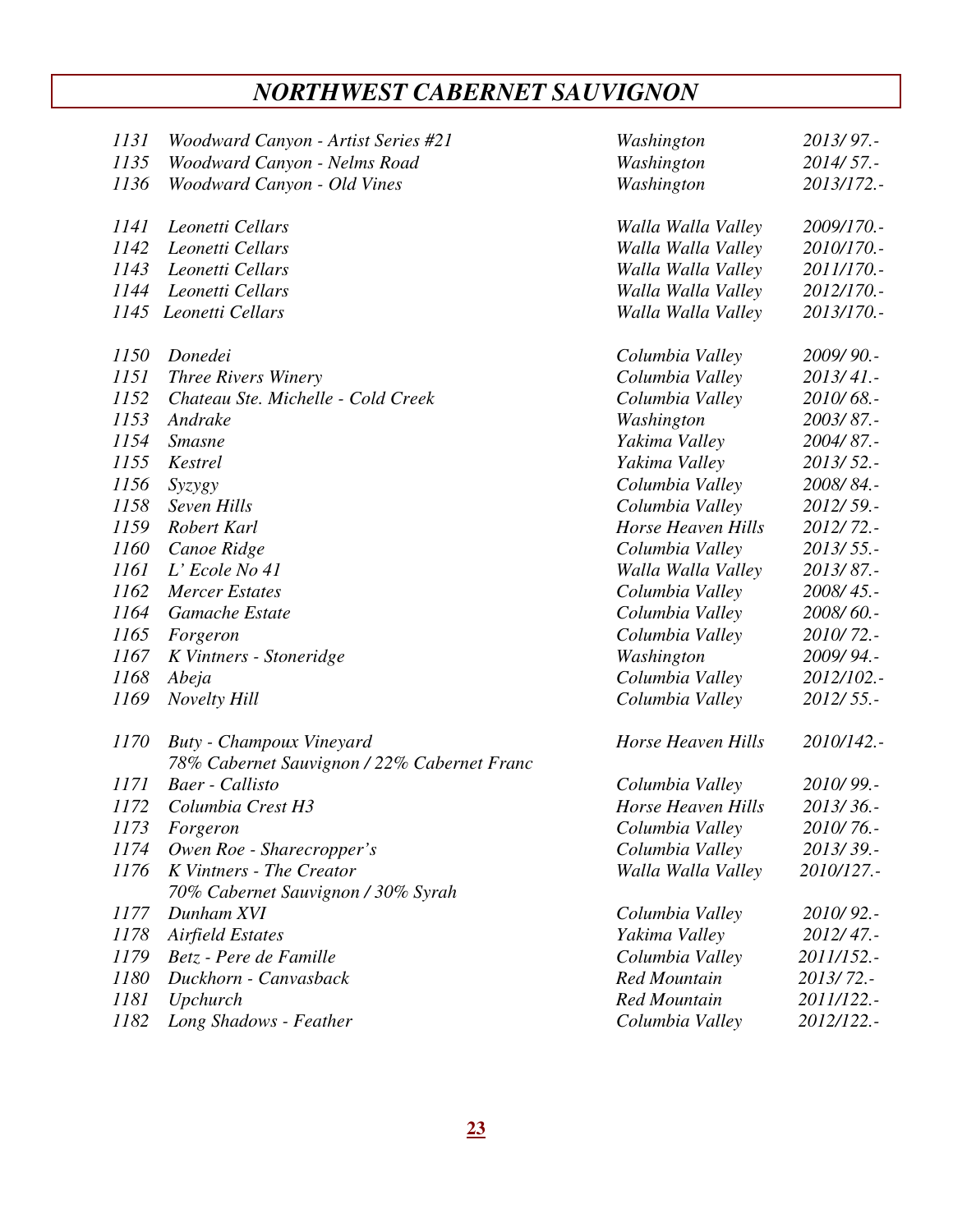# *NORTHWEST CABERNET SAUVIGNON*

| 1131        | Woodward Canyon - Artist Series #21                                     | Washington                | 2013/97.-  |
|-------------|-------------------------------------------------------------------------|---------------------------|------------|
| 1135        | Woodward Canyon - Nelms Road                                            | Washington                | 2014/57.-  |
| 1136        | Woodward Canyon - Old Vines                                             | Washington                | 2013/172.- |
| 1141        | Leonetti Cellars                                                        | Walla Walla Valley        | 2009/170.- |
| 1142        | Leonetti Cellars                                                        | Walla Walla Valley        | 2010/170.- |
| 1143        | Leonetti Cellars                                                        | Walla Walla Valley        | 2011/170.- |
| 1144        | Leonetti Cellars                                                        | Walla Walla Valley        | 2012/170.- |
|             | 1145 Leonetti Cellars                                                   | Walla Walla Valley        | 2013/170.- |
| 1150        | Donedei                                                                 | Columbia Valley           | 2009/90.-  |
| <i>1151</i> | <b>Three Rivers Winery</b>                                              | Columbia Valley           | 2013/41.-  |
| 1152        | Chateau Ste. Michelle - Cold Creek                                      | Columbia Valley           | 2010/68 .- |
| 1153        | Andrake                                                                 | Washington                | 2003/87.-  |
| 1154        | <b>Smasne</b>                                                           | Yakima Valley             | 2004/87.-  |
| 1155        | Kestrel                                                                 | Yakima Valley             | 2013/52 .- |
| 1156        | Syzygy                                                                  | Columbia Valley           | 2008/84.-  |
| 1158        | Seven Hills                                                             | Columbia Valley           | 2012/59.-  |
| 1159        | Robert Karl                                                             | Horse Heaven Hills        | 2012/72.-  |
| 1160        | Canoe Ridge                                                             | Columbia Valley           | 2013/55.-  |
| 1161        | L' Ecole No 41                                                          | Walla Walla Valley        | 2013/87.-  |
| 1162        | <b>Mercer Estates</b>                                                   | Columbia Valley           | 2008/45.-  |
| 1164        | Gamache Estate                                                          | Columbia Valley           | 2008/60 .- |
| 1165        | Forgeron                                                                | Columbia Valley           | 2010/72 .- |
| 1167        | K Vintners - Stoneridge                                                 | Washington                | 2009/94.-  |
| 1168        | Abeja                                                                   | Columbia Valley           | 2012/102.- |
| 1169        | <b>Novelty Hill</b>                                                     | Columbia Valley           | 2012/55.-  |
| 1170        | Buty - Champoux Vineyard<br>78% Cabernet Sauvignon / 22% Cabernet Franc | <b>Horse Heaven Hills</b> | 2010/142.- |
| 1171        | Baer - Callisto                                                         | Columbia Valley           | 2010/99.-  |
| 1172        | Columbia Crest H3                                                       | Horse Heaven Hills        | 2013/36.-  |
| 1173        | Forgeron                                                                | Columbia Valley           | 2010/76.-  |
| 1174        | Owen Roe - Sharecropper's                                               | Columbia Valley           | 2013/39.-  |
| 1176        | K Vintners - The Creator                                                | Walla Walla Valley        | 2010/127.- |
|             | 70% Cabernet Sauvignon / 30% Syrah                                      |                           |            |
| 1177        | Dunham XVI                                                              | Columbia Valley           | 2010/92 .- |
| 1178        | <b>Airfield Estates</b>                                                 | Yakima Valley             | 2012/47.-  |
| 1179        | Betz - Pere de Famille                                                  | Columbia Valley           | 2011/152.- |
| 1180        | Duckhorn - Canvasback                                                   | <b>Red Mountain</b>       | 2013/72.-  |
| <i>1181</i> | Upchurch                                                                | <b>Red Mountain</b>       | 2011/122.- |
| 1182        | Long Shadows - Feather                                                  | Columbia Valley           | 2012/122.- |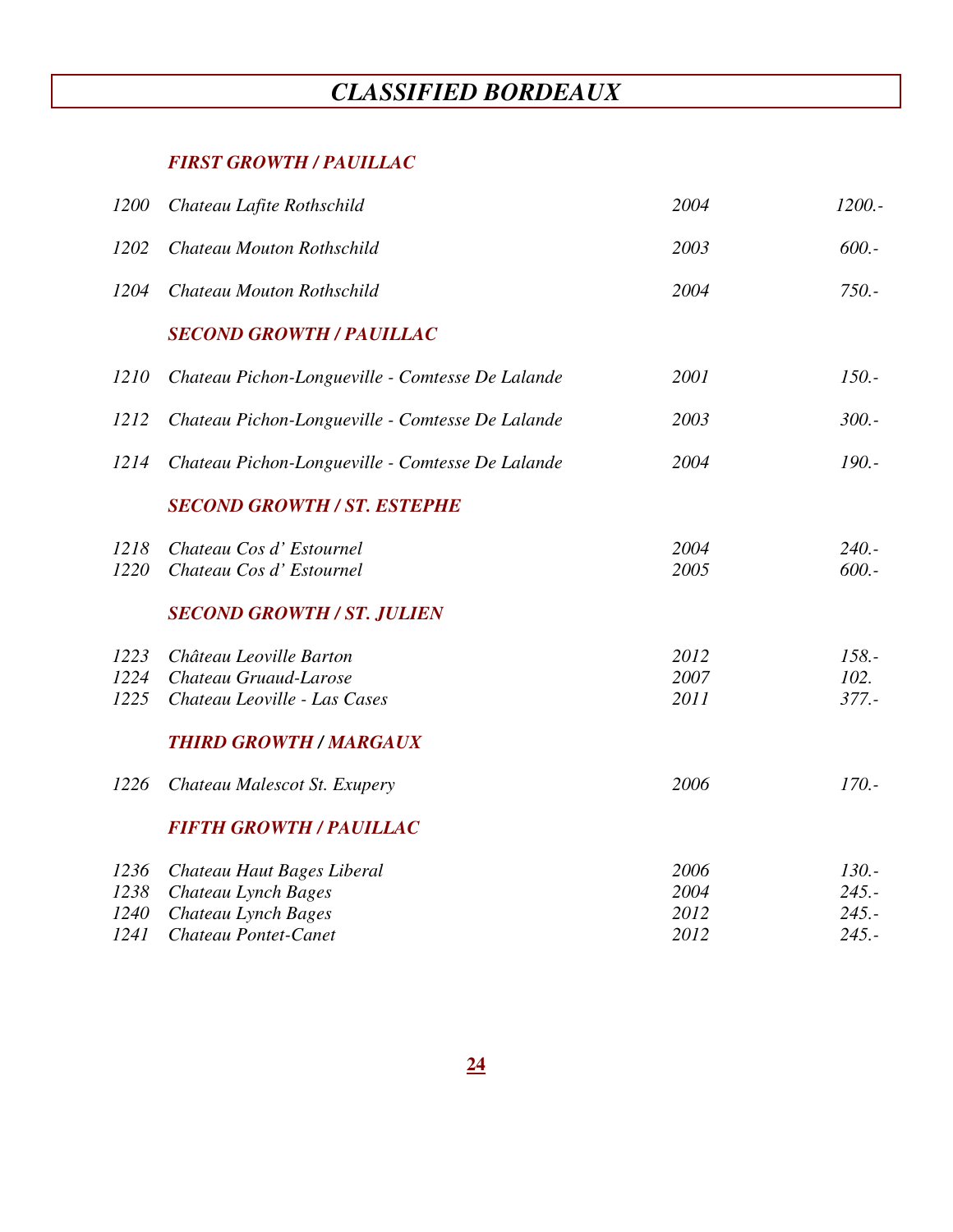# *CLASSIFIED BORDEAUX*

### *FIRST GROWTH / PAUILLAC*

| 1200 | Chateau Lafite Rothschild                        | 2004 | 1200.-   |
|------|--------------------------------------------------|------|----------|
| 1202 | Chateau Mouton Rothschild                        | 2003 | $600. -$ |
| 1204 | Chateau Mouton Rothschild                        | 2004 | $750. -$ |
|      | <b>SECOND GROWTH / PAUILLAC</b>                  |      |          |
| 1210 | Chateau Pichon-Longueville - Comtesse De Lalande | 2001 | $150. -$ |
| 1212 | Chateau Pichon-Longueville - Comtesse De Lalande | 2003 | $300 -$  |
| 1214 | Chateau Pichon-Longueville - Comtesse De Lalande | 2004 | $190. -$ |
|      | <b>SECOND GROWTH / ST. ESTEPHE</b>               |      |          |
| 1218 | Chateau Cos d'Estournel                          | 2004 | $240. -$ |
| 1220 | Chateau Cos d' Estournel                         | 2005 | $600. -$ |
|      | <b>SECOND GROWTH / ST. JULIEN</b>                |      |          |
| 1223 | Château Leoville Barton                          | 2012 | $158. -$ |
| 1224 | Chateau Gruaud-Larose                            | 2007 | 102.     |
| 1225 | Chateau Leoville - Las Cases                     | 2011 | $377. -$ |
|      | <b>THIRD GROWTH / MARGAUX</b>                    |      |          |
| 1226 | Chateau Malescot St. Exupery                     | 2006 | $170. -$ |
|      | <b>FIFTH GROWTH / PAUILLAC</b>                   |      |          |
| 1236 | Chateau Haut Bages Liberal                       | 2006 | $130. -$ |
| 1238 | Chateau Lynch Bages                              | 2004 | $245. -$ |
| 1240 | Chateau Lynch Bages                              | 2012 | $245. -$ |
| 1241 | Chateau Pontet-Canet                             | 2012 | $245. -$ |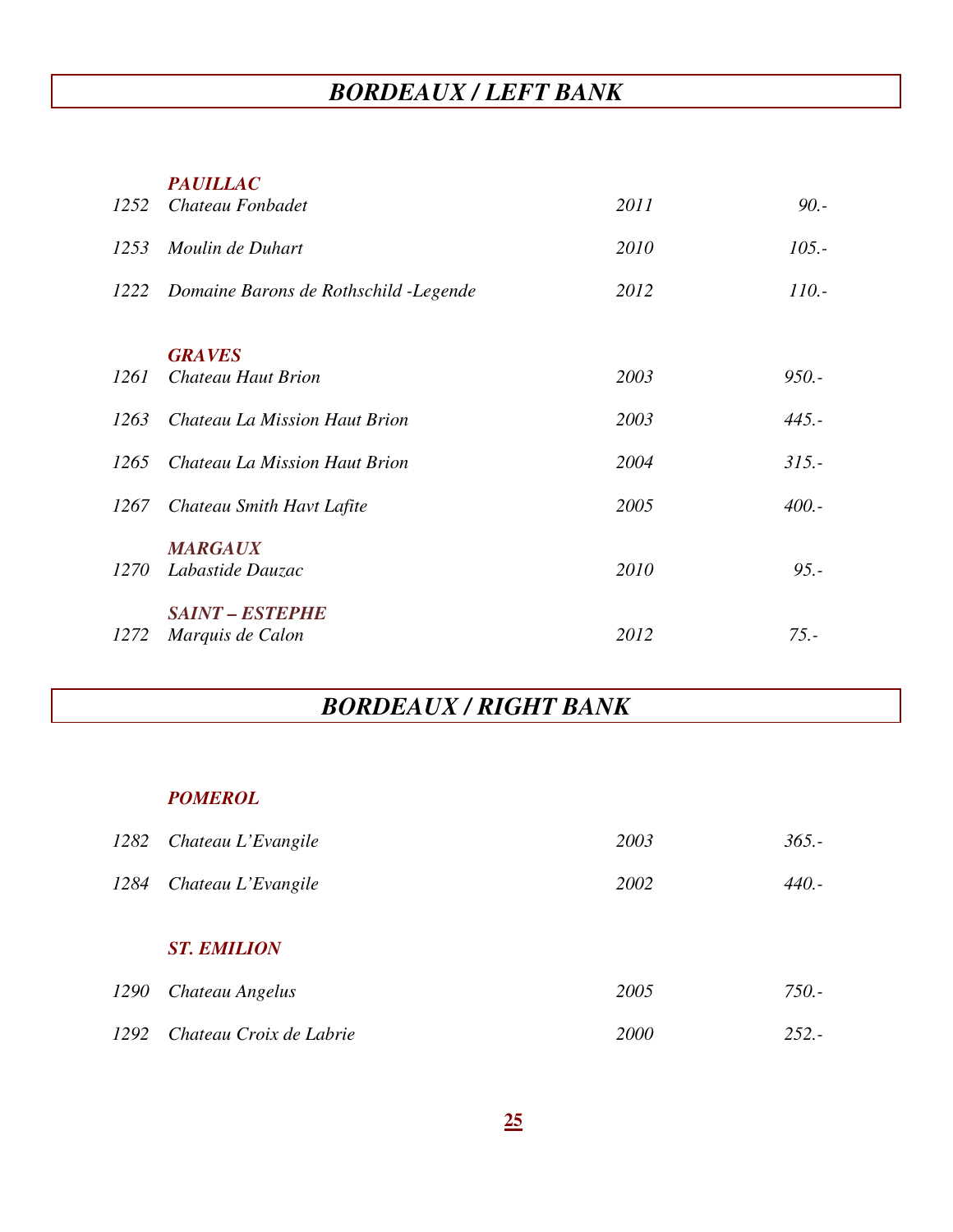# *BORDEAUX / LEFT BANK*

#### *PAUILLAC*

| 1252 | Chateau Fonbadet                       | 2011          | $90. -$  |
|------|----------------------------------------|---------------|----------|
| 1253 | Moulin de Duhart                       | 2010          | $105. -$ |
| 1222 | Domaine Barons de Rothschild - Legende | 2012          | $110. -$ |
|      |                                        |               |          |
| 1261 | Chateau Haut Brion                     | 2003          | $950. -$ |
| 1263 | Chateau La Mission Haut Brion          | 2003          | $445. -$ |
| 1265 | Chateau La Mission Haut Brion          | 2004          | $315. -$ |
| 1267 | Chateau Smith Havt Lafite              | 2005          | $400. -$ |
|      | <b>MARGAUX</b>                         |               |          |
| 1270 | Labastide Dauzac                       | 2010          | $95. -$  |
|      | <b>SAINT – ESTEPHE</b>                 |               |          |
| 1272 | Marquis de Calon                       | 2012          | $75. -$  |
|      |                                        | <b>GRAVES</b> |          |

# *BORDEAUX / RIGHT BANK*

### *POMEROL*

| 1282        | Chateau L'Evangile      | 2003 | $365. -$ |
|-------------|-------------------------|------|----------|
| 1284        | Chateau L'Evangile      | 2002 | 440.-    |
|             | <b>ST. EMILION</b>      |      |          |
| <i>1290</i> | Chateau Angelus         | 2005 | $750. -$ |
| 1292        | Chateau Croix de Labrie | 2000 | $252 -$  |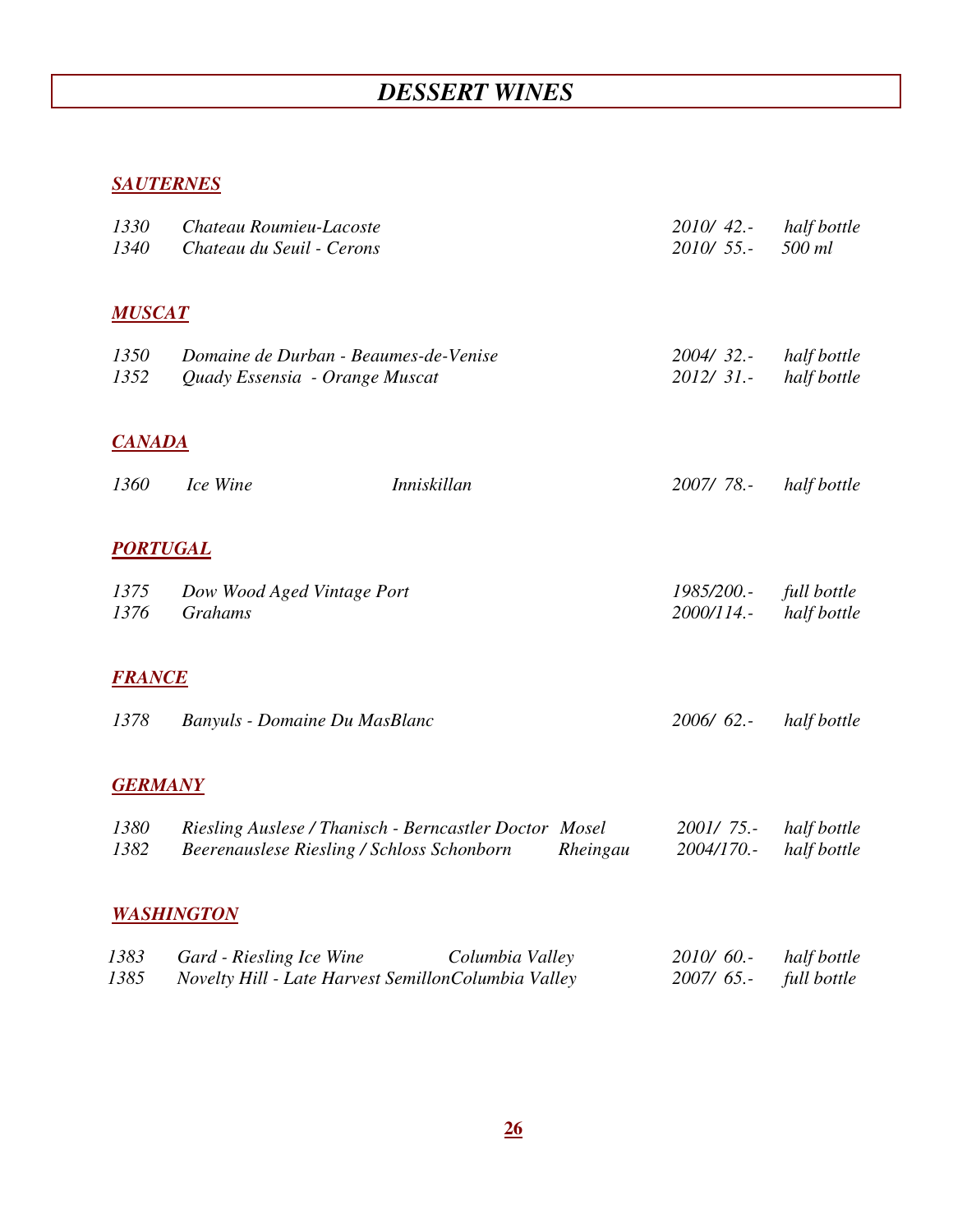# *DESSERT WINES*

### *SAUTERNES*

| 1330<br>1340    | Chateau Roumieu-Lacoste<br>Chateau du Seuil - Cerons                                               | 2010/42 .-<br>$2010/55$ . | half bottle<br>500 ml      |
|-----------------|----------------------------------------------------------------------------------------------------|---------------------------|----------------------------|
| <b>MUSCAT</b>   |                                                                                                    |                           |                            |
| 1350            | Domaine de Durban - Beaumes-de-Venise                                                              | 2004/32.                  | half bottle                |
| 1352            | Quady Essensia - Orange Muscat                                                                     | 2012/31.-                 | half bottle                |
| <b>CANADA</b>   |                                                                                                    |                           |                            |
| 1360            | Ice Wine<br><b>Inniskillan</b>                                                                     | 2007/78 .-                | half bottle                |
| <b>PORTUGAL</b> |                                                                                                    |                           |                            |
| 1375<br>1376    | Dow Wood Aged Vintage Port<br><b>Grahams</b>                                                       | 1985/200 .-<br>2000/114.- | full bottle<br>half bottle |
|                 |                                                                                                    |                           |                            |
| <b>FRANCE</b>   |                                                                                                    |                           |                            |
| 1378            | Banyuls - Domaine Du MasBlanc                                                                      | 2006/62 .-                | half bottle                |
| <b>GERMANY</b>  |                                                                                                    |                           |                            |
| 1380            | Riesling Auslese / Thanisch - Berncastler Doctor Mosel                                             | 2001/75.-                 | half bottle                |
| 1382            | Beerenauslese Riesling / Schloss Schonborn<br>Rheingau                                             | 2004/170.-                | half bottle                |
|                 | <b>WASHINGTON</b>                                                                                  |                           |                            |
| 1383<br>1385    | Gard - Riesling Ice Wine<br>Columbia Valley<br>Novelty Hill - Late Harvest SemillonColumbia Valley | 2010/60.-<br>2007/65.-    | half bottle<br>full bottle |
|                 |                                                                                                    |                           |                            |